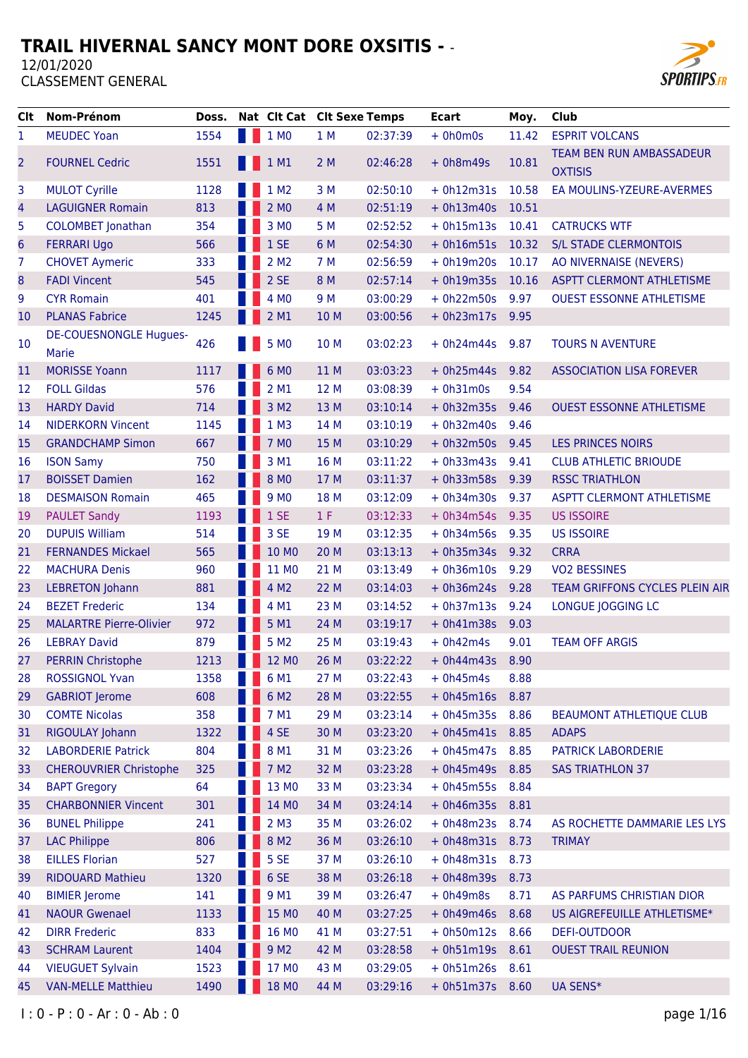

| Clt            | Nom-Prénom                             | Doss. | Nat Clt Cat Clt Sexe Temps |      |          | <b>Ecart</b>      | Moy.  | Club                                              |
|----------------|----------------------------------------|-------|----------------------------|------|----------|-------------------|-------|---------------------------------------------------|
| 1              | <b>MEUDEC Yoan</b>                     | 1554  | 1 MO                       | 1 M  | 02:37:39 | $+ 0h0m0s$        | 11.42 | <b>ESPRIT VOLCANS</b>                             |
| 2              | <b>FOURNEL Cedric</b>                  | 1551  | $1$ M1                     | 2M   | 02:46:28 | $+ 0h8m49s$       | 10.81 | <b>TEAM BEN RUN AMBASSADEUR</b><br><b>OXTISIS</b> |
| 3              | <b>MULOT Cyrille</b>                   | 1128  | 1 M <sub>2</sub>           | 3 M  | 02:50:10 | $+ 0h12m31s$      | 10.58 | EA MOULINS-YZEURE-AVERMES                         |
| 4              | <b>LAGUIGNER Romain</b>                | 813   | 2 M0                       | 4 M  | 02:51:19 | $+ 0h13m40s$      | 10.51 |                                                   |
| 5              | <b>COLOMBET Jonathan</b>               | 354   | 3 M <sub>0</sub>           | 5 M  | 02:52:52 | $+ 0h15m13s$      | 10.41 | <b>CATRUCKS WTF</b>                               |
| $6\phantom{1}$ | <b>FERRARI Ugo</b>                     | 566   | 1SE                        | 6 M  | 02:54:30 | $+ 0h16m51s$      | 10.32 | <b>S/L STADE CLERMONTOIS</b>                      |
| 7              | <b>CHOVET Aymeric</b>                  | 333   | 2 M <sub>2</sub>           | 7 M  | 02:56:59 | $+ 0h19m20s$      | 10.17 | AO NIVERNAISE (NEVERS)                            |
| 8              | <b>FADI Vincent</b>                    | 545   | 2 SE                       | 8 M  | 02:57:14 | $+ 0h19m35s$      | 10.16 | <b>ASPTT CLERMONT ATHLETISME</b>                  |
| 9              | <b>CYR Romain</b>                      | 401   | 4 MO                       | 9 M  | 03:00:29 | $+ 0h22m50s$      | 9.97  | <b>OUEST ESSONNE ATHLETISME</b>                   |
| 10             | <b>PLANAS Fabrice</b>                  | 1245  | 2 M1                       | 10 M | 03:00:56 | $+ 0h23m17s$      | 9.95  |                                                   |
| 10             | <b>DE-COUESNONGLE Hugues-</b><br>Marie | 426   | 5 MO                       | 10 M | 03:02:23 | $+ 0h24m44s$      | 9.87  | <b>TOURS N AVENTURE</b>                           |
| 11             | <b>MORISSE Yoann</b>                   | 1117  | 6 MO                       | 11 M | 03:03:23 | $+ 0h25m44s$      | 9.82  | <b>ASSOCIATION LISA FOREVER</b>                   |
| 12             | <b>FOLL Gildas</b>                     | 576   | 2 M1                       | 12 M | 03:08:39 | $+ 0h31m0s$       | 9.54  |                                                   |
| 13             | <b>HARDY David</b>                     | 714   | 3 M <sub>2</sub>           | 13 M | 03:10:14 | $+ 0h32m35s$      | 9.46  | <b>OUEST ESSONNE ATHLETISME</b>                   |
| 14             | <b>NIDERKORN Vincent</b>               | 1145  | 1 M3                       | 14 M | 03:10:19 | $+ 0h32m40s$      | 9.46  |                                                   |
| 15             | <b>GRANDCHAMP Simon</b>                | 667   | 7 M <sub>0</sub>           | 15 M | 03:10:29 | $+ 0h32m50s$      | 9.45  | <b>LES PRINCES NOIRS</b>                          |
| 16             | <b>ISON Samy</b>                       | 750   | 3 M1                       | 16 M | 03:11:22 | $+ 0h33m43s$      | 9.41  | <b>CLUB ATHLETIC BRIOUDE</b>                      |
| 17             | <b>BOISSET Damien</b>                  | 162   | 8 MO                       | 17 M | 03:11:37 | $+ 0h33m58s$      | 9.39  | <b>RSSC TRIATHLON</b>                             |
| 18             | <b>DESMAISON Romain</b>                | 465   | 9 M <sub>0</sub>           | 18 M | 03:12:09 | $+ 0h34m30s$      | 9.37  | <b>ASPTT CLERMONT ATHLETISME</b>                  |
| 19             | <b>PAULET Sandy</b>                    | 1193  | 1 SE                       | 1 F  | 03:12:33 | $+ 0h34m54s$      | 9.35  | <b>US ISSOIRE</b>                                 |
| 20             | <b>DUPUIS William</b>                  | 514   | 3 SE                       | 19 M | 03:12:35 | $+ 0h34m56s$      | 9.35  | <b>US ISSOIRE</b>                                 |
| 21             | <b>FERNANDES Mickael</b>               | 565   | 10 MO                      | 20 M | 03:13:13 | $+ 0h35m34s$      | 9.32  | <b>CRRA</b>                                       |
| 22             | <b>MACHURA Denis</b>                   | 960   | 11 MO                      | 21 M | 03:13:49 | $+ 0h36m10s$      | 9.29  | <b>VO2 BESSINES</b>                               |
| 23             | <b>LEBRETON Johann</b>                 | 881   | 4 M2                       | 22 M | 03:14:03 | $+ 0h36m24s$      | 9.28  | TEAM GRIFFONS CYCLES PLEIN AIR                    |
| 24             | <b>BEZET Frederic</b>                  | 134   | 4 M1                       | 23 M | 03:14:52 | $+ 0h37m13s$      | 9.24  | LONGUE JOGGING LC                                 |
| 25             | <b>MALARTRE Pierre-Olivier</b>         | 972   | 5 M1                       | 24 M | 03:19:17 | $+ 0h41m38s$      | 9.03  |                                                   |
| 26             | <b>LEBRAY David</b>                    | 879   | 5 M <sub>2</sub>           | 25 M | 03:19:43 | $+ 0h42m4s$       | 9.01  | <b>TEAM OFF ARGIS</b>                             |
| 27             | <b>PERRIN Christophe</b>               | 1213  | 12 MO                      | 26 M | 03:22:22 | $+ 0h44m43s$      | 8.90  |                                                   |
| 28             | <b>ROSSIGNOL Yvan</b>                  | 1358  | 6 M1                       | 27 M | 03:22:43 | $+ 0h45m4s$       | 8.88  |                                                   |
| 29             | <b>GABRIOT Jerome</b>                  | 608   | 6 M <sub>2</sub>           | 28 M | 03:22:55 | $+ 0h45m16s$      | 8.87  |                                                   |
| 30             | <b>COMTE Nicolas</b>                   | 358   | 7 M1                       | 29 M | 03:23:14 | $+ 0h45m35s$      | 8.86  | <b>BEAUMONT ATHLETIQUE CLUB</b>                   |
| 31             | RIGOULAY Johann                        | 1322  | 4 SE                       | 30 M | 03:23:20 | $+ 0h45m41s$      | 8.85  | <b>ADAPS</b>                                      |
| 32             | <b>LABORDERIE Patrick</b>              | 804   | 8 M1                       | 31 M | 03:23:26 | $+ 0h45m47s$      | 8.85  | PATRICK LABORDERIE                                |
| 33             | <b>CHEROUVRIER Christophe</b>          | 325   | 7 M <sub>2</sub>           | 32 M | 03:23:28 | $+ 0h45m49s$      | 8.85  | <b>SAS TRIATHLON 37</b>                           |
| 34             | <b>BAPT Gregory</b>                    | 64    | 13 MO                      | 33 M | 03:23:34 | $+ 0h45m55s$      | 8.84  |                                                   |
| 35             | <b>CHARBONNIER Vincent</b>             | 301   | 14 MO                      | 34 M | 03:24:14 | $+ 0h46m35s$      | 8.81  |                                                   |
| 36             | <b>BUNEL Philippe</b>                  | 241   | $2$ M <sub>3</sub>         | 35 M | 03:26:02 | $+ 0h48m23s$      | 8.74  | AS ROCHETTE DAMMARIE LES LYS                      |
| 37             | <b>LAC Philippe</b>                    | 806   | 8 M <sub>2</sub>           | 36 M | 03:26:10 | $+ 0h48m31s$      | 8.73  | <b>TRIMAY</b>                                     |
| 38             | <b>EILLES Florian</b>                  | 527   | 5 SE                       | 37 M | 03:26:10 | $+ 0h48m31s$      | 8.73  |                                                   |
| 39             | <b>RIDOUARD Mathieu</b>                | 1320  | 6 SE                       | 38 M | 03:26:18 | $+ 0h48m39s$      | 8.73  |                                                   |
| 40             | <b>BIMIER Jerome</b>                   | 141   | 9 M1                       | 39 M | 03:26:47 | $+ 0h49m8s$       | 8.71  | AS PARFUMS CHRISTIAN DIOR                         |
| 41             | <b>NAOUR Gwenael</b>                   | 1133  | 15 MO                      | 40 M | 03:27:25 | $+ 0h49m46s$      | 8.68  | US AIGREFEUILLE ATHLETISME*                       |
| 42             | <b>DIRR Frederic</b>                   | 833   | 16 MO                      | 41 M | 03:27:51 | $+ 0h50m12s$      | 8.66  | DEFI-OUTDOOR                                      |
| 43             | <b>SCHRAM Laurent</b>                  | 1404  | 9 M <sub>2</sub>           | 42 M | 03:28:58 | $+ 0h51m19s$      | 8.61  | <b>OUEST TRAIL REUNION</b>                        |
| 44             | <b>VIEUGUET Sylvain</b>                | 1523  | 17 MO                      | 43 M | 03:29:05 | $+ 0h51m26s 8.61$ |       |                                                   |
| 45             | <b>VAN-MELLE Matthieu</b>              | 1490  | 18 MO                      | 44 M | 03:29:16 | + 0h51m37s 8.60   |       | UA SENS*                                          |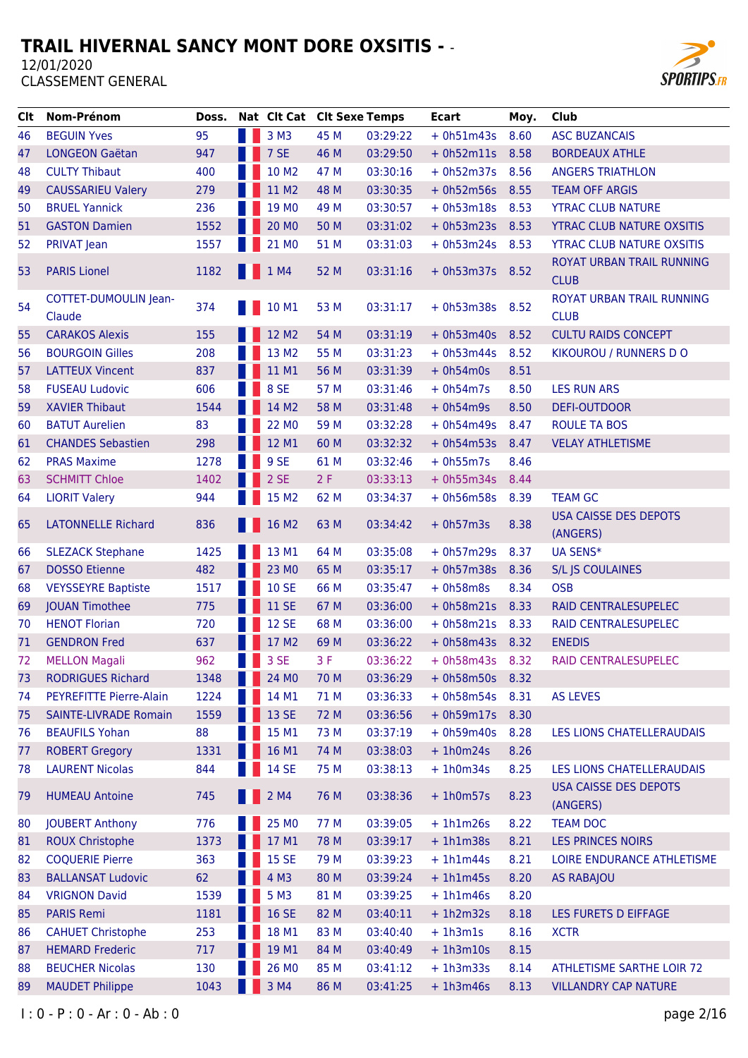

| <b>Clt</b> | Nom-Prénom                      | Doss. | Nat Clt Cat Clt Sexe Temps |      |          | <b>Ecart</b>      | Moy. | Club                                     |
|------------|---------------------------------|-------|----------------------------|------|----------|-------------------|------|------------------------------------------|
| 46         | <b>BEGUIN Yves</b>              | 95    | 3 M3                       | 45 M | 03:29:22 | $+ 0h51m43s$      | 8.60 | <b>ASC BUZANCAIS</b>                     |
| 47         | <b>LONGEON Gaëtan</b>           | 947   | 7 SE                       | 46 M | 03:29:50 | $+ 0h52m11s 8.58$ |      | <b>BORDEAUX ATHLE</b>                    |
| 48         | <b>CULTY Thibaut</b>            | 400   | 10 M2                      | 47 M | 03:30:16 | $+ 0h52m37s$      | 8.56 | <b>ANGERS TRIATHLON</b>                  |
| 49         | <b>CAUSSARIEU Valery</b>        | 279   | 11 M2                      | 48 M | 03:30:35 | $+ 0h52m56s$      | 8.55 | <b>TEAM OFF ARGIS</b>                    |
| 50         | <b>BRUEL Yannick</b>            | 236   | 19 MO                      | 49 M | 03:30:57 | + 0h53m18s 8.53   |      | <b>YTRAC CLUB NATURE</b>                 |
| 51         | <b>GASTON Damien</b>            | 1552  | 20 MO                      | 50 M | 03:31:02 | + 0h53m23s 8.53   |      | <b>YTRAC CLUB NATURE OXSITIS</b>         |
| 52         | PRIVAT Jean                     | 1557  | 21 MO                      | 51 M | 03:31:03 | $+ 0h53m24s 8.53$ |      | <b>YTRAC CLUB NATURE OXSITIS</b>         |
| 53         | <b>PARIS Lionel</b>             | 1182  | $\blacksquare$ 1 M4        | 52 M | 03:31:16 | $+ 0h53m37s 8.52$ |      | ROYAT URBAN TRAIL RUNNING<br><b>CLUB</b> |
| 54         | COTTET-DUMOULIN Jean-<br>Claude | 374   | <b>10 M1</b>               | 53 M | 03:31:17 | $+ 0h53m38s$      | 8.52 | ROYAT URBAN TRAIL RUNNING<br><b>CLUB</b> |
| 55         | <b>CARAKOS Alexis</b>           | 155   | 12 M2                      | 54 M | 03:31:19 | $+ 0h53m40s$      | 8.52 | <b>CULTU RAIDS CONCEPT</b>               |
| 56         | <b>BOURGOIN Gilles</b>          | 208   | 13 M2                      | 55 M | 03:31:23 | $+ 0h53m44s$      | 8.52 | KIKOUROU / RUNNERS D O                   |
| 57         | <b>LATTEUX Vincent</b>          | 837   | 11 M1                      | 56 M | 03:31:39 | $+ 0h54m0s$       | 8.51 |                                          |
| 58         | <b>FUSEAU Ludovic</b>           | 606   | 8 SE                       | 57 M | 03:31:46 | $+ 0h54m7s$       | 8.50 | <b>LES RUN ARS</b>                       |
| 59         | <b>XAVIER Thibaut</b>           | 1544  | 14 M2                      | 58 M | 03:31:48 | $+ 0h54m9s$       | 8.50 | <b>DEFI-OUTDOOR</b>                      |
| 60         | <b>BATUT Aurelien</b>           | 83    | 22 MO                      | 59 M | 03:32:28 | $+ 0h54m49s$      | 8.47 | <b>ROULE TA BOS</b>                      |
| 61         | <b>CHANDES Sebastien</b>        | 298   | 12 M1                      | 60 M | 03:32:32 | $+ 0h54m53s$      | 8.47 | <b>VELAY ATHLETISME</b>                  |
| 62         | <b>PRAS Maxime</b>              | 1278  | 9 SE                       | 61 M | 03:32:46 | $+ 0h55m7s$       | 8.46 |                                          |
| 63         | <b>SCHMITT Chloe</b>            | 1402  | 2 SE                       | 2F   | 03:33:13 | $+ 0h55m34s$      | 8.44 |                                          |
| 64         | <b>LIORIT Valery</b>            | 944   | 15 M2                      | 62 M | 03:34:37 | $+ 0h56m58s$      | 8.39 | <b>TEAM GC</b>                           |
| 65         | <b>LATONNELLE Richard</b>       | 836   | 16 M2                      | 63 M | 03:34:42 | $+ 0h57m3s$       | 8.38 | <b>USA CAISSE DES DEPOTS</b><br>(ANGERS) |
| 66         | <b>SLEZACK Stephane</b>         | 1425  | 13 M1                      | 64 M | 03:35:08 | $+ 0h57m29s$      | 8.37 | <b>UA SENS*</b>                          |
| 67         | <b>DOSSO Etienne</b>            | 482   | 23 MO                      | 65 M | 03:35:17 | $+ 0h57m38s$      | 8.36 | S/L JS COULAINES                         |
| 68         | <b>VEYSSEYRE Baptiste</b>       | 1517  | <b>10 SE</b>               | 66 M | 03:35:47 | $+ 0h58m8s$       | 8.34 | <b>OSB</b>                               |
| 69         | <b>JOUAN Timothee</b>           | 775   | 11 SE                      | 67 M | 03:36:00 | $+ 0h58m21s$      | 8.33 | RAID CENTRALESUPELEC                     |
| 70         | <b>HENOT Florian</b>            | 720   | <b>12 SE</b>               | 68 M | 03:36:00 | $+ 0h58m21s$      | 8.33 | RAID CENTRALESUPELEC                     |
| 71         | <b>GENDRON Fred</b>             | 637   | 17 M2                      | 69 M | 03:36:22 | + 0h58m43s 8.32   |      | <b>ENEDIS</b>                            |
| 72         | <b>MELLON Magali</b>            | 962   | 3 SE                       | 3F   | 03:36:22 | + 0h58m43s 8.32   |      | RAID CENTRALESUPELEC                     |
| 73         | <b>RODRIGUES Richard</b>        | 1348  | 24 MO                      | 70 M | 03:36:29 | $+ 0h58m50s$      | 8.32 |                                          |
| 74         | PEYREFITTE Pierre-Alain         | 1224  | 14 M1                      | 71 M | 03:36:33 | $+ 0h58m54s$      | 8.31 | <b>AS LEVES</b>                          |
| 75         | <b>SAINTE-LIVRADE Romain</b>    | 1559  | 13 SE                      | 72 M | 03:36:56 | + 0h59m17s 8.30   |      |                                          |
| 76         | <b>BEAUFILS Yohan</b>           | 88    | 15 M1                      | 73 M | 03:37:19 | $+ 0h59m40s$      | 8.28 | LES LIONS CHATELLERAUDAIS                |
| 77         | <b>ROBERT Gregory</b>           | 1331  | 16 M1                      | 74 M | 03:38:03 | $+1h0m24s$        | 8.26 |                                          |
| 78         | <b>LAURENT Nicolas</b>          | 844   | <b>14 SE</b>               | 75 M | 03:38:13 | $+1h0m34s$        | 8.25 | LES LIONS CHATELLERAUDAIS                |
| 79         | <b>HUMEAU Antoine</b>           | 745   | 2 M4                       | 76 M | 03:38:36 | $+1h0m57s$        | 8.23 | <b>USA CAISSE DES DEPOTS</b><br>(ANGERS) |
| 80         | <b>JOUBERT Anthony</b>          | 776   | 25 MO                      | 77 M | 03:39:05 | $+1h1m26s$        | 8.22 | <b>TEAM DOC</b>                          |
| 81         | <b>ROUX Christophe</b>          | 1373  | 17 M1                      | 78 M | 03:39:17 | $+1h1m38s$        | 8.21 | <b>LES PRINCES NOIRS</b>                 |
| 82         | <b>COQUERIE Pierre</b>          | 363   | <b>15 SE</b>               | 79 M | 03:39:23 | $+1h1m44s$        | 8.21 | LOIRE ENDURANCE ATHLETISME               |
| 83         | <b>BALLANSAT Ludovic</b>        | 62    | 4 M3                       | 80 M | 03:39:24 | $+1h1m45s$        | 8.20 | <b>AS RABAJOU</b>                        |
| 84         | <b>VRIGNON David</b>            | 1539  | 5 M3                       | 81 M | 03:39:25 | $+1h1m46s$        | 8.20 |                                          |
| 85         | <b>PARIS Remi</b>               | 1181  | <b>16 SE</b>               | 82 M | 03:40:11 | $+1h2m32s$        | 8.18 | LES FURETS D EIFFAGE                     |
| 86         | <b>CAHUET Christophe</b>        | 253   | 18 M1                      | 83 M | 03:40:40 | $+1h3m1s$         | 8.16 | <b>XCTR</b>                              |
| 87         | <b>HEMARD Frederic</b>          | 717   | 19 M1                      | 84 M | 03:40:49 | $+1h3m10s$        | 8.15 |                                          |
| 88         | <b>BEUCHER Nicolas</b>          | 130   | 26 MO                      | 85 M | 03:41:12 | $+1h3m33s$        | 8.14 | ATHLETISME SARTHE LOIR 72                |
| 89         | <b>MAUDET Philippe</b>          | 1043  | 3 M4                       | 86 M | 03:41:25 | $+1h3m46s$        | 8.13 | <b>VILLANDRY CAP NATURE</b>              |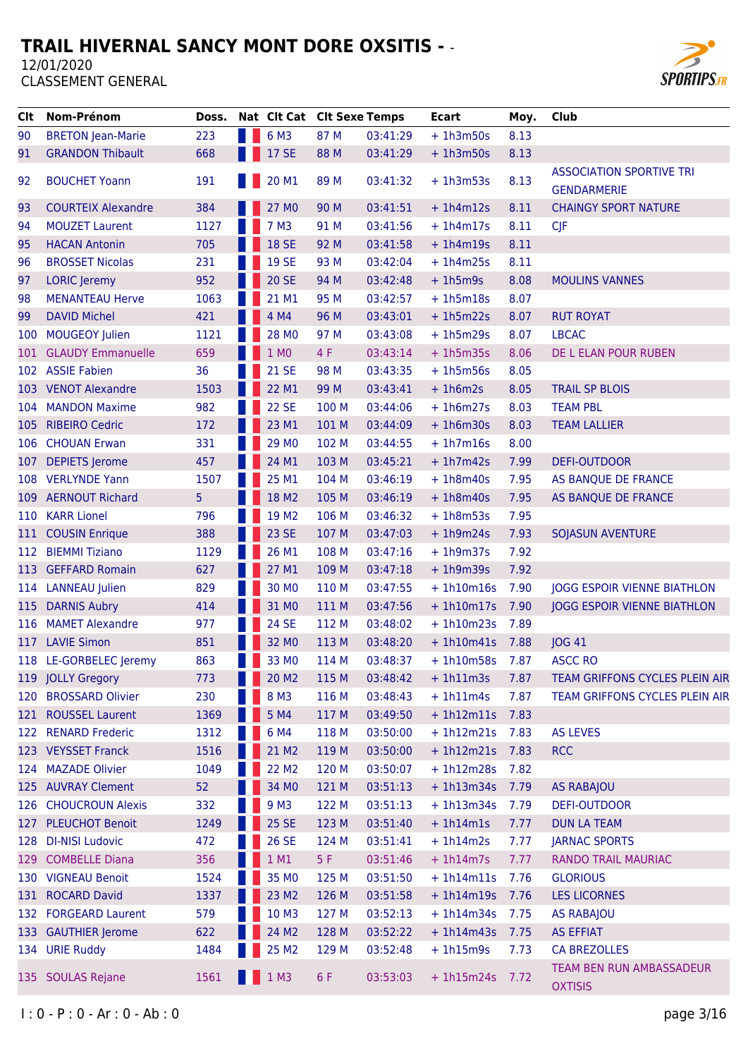

| <b>Clt</b> | Nom-Prénom                | Doss. | Nat Clt Cat Clt Sexe Temps |       |          | <b>Ecart</b> | Moy. | Club                                                  |
|------------|---------------------------|-------|----------------------------|-------|----------|--------------|------|-------------------------------------------------------|
| 90         | <b>BRETON Jean-Marie</b>  | 223   | 6 M3                       | 87 M  | 03:41:29 | $+ 1h3m50s$  | 8.13 |                                                       |
| 91         | <b>GRANDON Thibault</b>   | 668   | <b>17 SE</b>               | 88 M  | 03:41:29 | $+1h3m50s$   | 8.13 |                                                       |
| 92         | <b>BOUCHET Yoann</b>      | 191   | 20 M1                      | 89 M  | 03:41:32 | $+1h3m53s$   | 8.13 | <b>ASSOCIATION SPORTIVE TRI</b><br><b>GENDARMERIE</b> |
| 93         | <b>COURTEIX Alexandre</b> | 384   | 27 MO                      | 90 M  | 03:41:51 | $+1h4m12s$   | 8.11 | <b>CHAINGY SPORT NATURE</b>                           |
| 94         | <b>MOUZET Laurent</b>     | 1127  | 7 M3                       | 91 M  | 03:41:56 | $+1h4m17s$   | 8.11 | <b>CJF</b>                                            |
| 95         | <b>HACAN Antonin</b>      | 705   | <b>18 SE</b>               | 92 M  | 03:41:58 | $+1h4m19s$   | 8.11 |                                                       |
| 96         | <b>BROSSET Nicolas</b>    | 231   | <b>19 SE</b>               | 93 M  | 03:42:04 | $+1h4m25s$   | 8.11 |                                                       |
| 97         | <b>LORIC</b> Jeremy       | 952   | <b>20 SE</b>               | 94 M  | 03:42:48 | $+1h5m9s$    | 8.08 | <b>MOULINS VANNES</b>                                 |
| 98         | <b>MENANTEAU Herve</b>    | 1063  | 21 M1                      | 95 M  | 03:42:57 | $+1h5m18s$   | 8.07 |                                                       |
| 99         | <b>DAVID Michel</b>       | 421   | 4 M4                       | 96 M  | 03:43:01 | $+1h5m22s$   | 8.07 | <b>RUT ROYAT</b>                                      |
| 100        | <b>MOUGEOY Julien</b>     | 1121  | 28 MO                      | 97 M  | 03:43:08 | $+1h5m29s$   | 8.07 | <b>LBCAC</b>                                          |
| 101        | <b>GLAUDY Emmanuelle</b>  | 659   | 1 MO                       | 4 F   | 03:43:14 | $+1h5m35s$   | 8.06 | DE L ELAN POUR RUBEN                                  |
| 102        | <b>ASSIE Fabien</b>       | 36    | <b>21 SE</b>               | 98 M  | 03:43:35 | $+1h5m56s$   | 8.05 |                                                       |
|            | 103 VENOT Alexandre       | 1503  | 22 M1                      | 99 M  | 03:43:41 | $+1h6m2s$    | 8.05 | <b>TRAIL SP BLOIS</b>                                 |
| 104        | <b>MANDON Maxime</b>      | 982   | <b>22 SE</b>               | 100 M | 03:44:06 | $+1h6m27s$   | 8.03 | <b>TEAM PBL</b>                                       |
| 105        | <b>RIBEIRO Cedric</b>     | 172   | 23 M1                      | 101 M | 03:44:09 | $+1h6m30s$   | 8.03 | <b>TEAM LALLIER</b>                                   |
| 106        | <b>CHOUAN Erwan</b>       | 331   | 29 MO                      | 102 M | 03:44:55 | $+1h7m16s$   | 8.00 |                                                       |
| 107        | <b>DEPIETS Jerome</b>     | 457   | 24 M1                      | 103 M | 03:45:21 | $+1h7m42s$   | 7.99 | <b>DEFI-OUTDOOR</b>                                   |
|            | 108 VERLYNDE Yann         | 1507  | 25 M1                      | 104 M | 03:46:19 | $+1h8m40s$   | 7.95 | AS BANQUE DE FRANCE                                   |
|            | 109 AERNOUT Richard       | 5     | 18 M2                      | 105 M | 03:46:19 | $+1h8m40s$   | 7.95 | AS BANQUE DE FRANCE                                   |
| 110        | <b>KARR Lionel</b>        | 796   | 19 M <sub>2</sub>          | 106 M | 03:46:32 | $+1h8m53s$   | 7.95 |                                                       |
| 111        | <b>COUSIN Enrique</b>     | 388   | 23 SE                      | 107 M | 03:47:03 | $+1h9m24s$   | 7.93 | <b>SOJASUN AVENTURE</b>                               |
| 112        | <b>BIEMMI Tiziano</b>     | 1129  | 26 M1                      | 108 M | 03:47:16 | $+1h9m37s$   | 7.92 |                                                       |
| 113 -      | <b>GEFFARD Romain</b>     | 627   | 27 M1                      | 109 M | 03:47:18 | $+1h9m39s$   | 7.92 |                                                       |
| 114        | <b>LANNEAU</b> Julien     | 829   | 30 MO                      | 110 M | 03:47:55 | $+1h10m16s$  | 7.90 | <b>JOGG ESPOIR VIENNE BIATHLON</b>                    |
| 115        | <b>DARNIS Aubry</b>       | 414   | 31 MO                      | 111 M | 03:47:56 | $+1h10m17s$  | 7.90 | <b>JOGG ESPOIR VIENNE BIATHLON</b>                    |
| 116        | <b>MAMET Alexandre</b>    | 977   | <b>24 SE</b>               | 112 M | 03:48:02 | $+1h10m23s$  | 7.89 |                                                       |
| 117        | <b>LAVIE Simon</b>        | 851   | 32 MO                      | 113 M | 03:48:20 | $+1h10m41s$  | 7.88 | <b>JOG 41</b>                                         |
|            | 118 LE-GORBELEC Jeremy    | 863   | 33 MO                      | 114 M | 03:48:37 | $+1h10m58s$  | 7.87 | <b>ASCC RO</b>                                        |
|            | 119 JOLLY Gregory         | 773   | 20 M <sub>2</sub>          | 115 M | 03:48:42 | $+ 1h11m3s$  | 7.87 | TEAM GRIFFONS CYCLES PLEIN AIR                        |
|            | 120 BROSSARD Olivier      | 230   | 8 M3                       | 116 M | 03:48:43 | $+ 1h11m4s$  | 7.87 | TEAM GRIFFONS CYCLES PLEIN AIR                        |
|            | 121 ROUSSEL Laurent       | 1369  | 5 M4                       | 117 M | 03:49:50 | $+1h12m11s$  | 7.83 |                                                       |
|            | 122 RENARD Frederic       | 1312  | 6 M4                       | 118 M | 03:50:00 | $+ 1h12m21s$ | 7.83 | <b>AS LEVES</b>                                       |
|            | 123 VEYSSET Franck        | 1516  | 21 M2                      | 119 M | 03:50:00 | $+ 1h12m21s$ | 7.83 | <b>RCC</b>                                            |
|            | 124 MAZADE Olivier        | 1049  | 22 M <sub>2</sub>          | 120 M | 03:50:07 | $+1h12m28s$  | 7.82 |                                                       |
|            | 125 AUVRAY Clement        | 52    | 34 MO                      | 121 M | 03:51:13 | $+ 1h13m34s$ | 7.79 | <b>AS RABAJOU</b>                                     |
|            | 126 CHOUCROUN Alexis      | 332   | 9 M3                       | 122 M | 03:51:13 | $+ 1h13m34s$ | 7.79 | <b>DEFI-OUTDOOR</b>                                   |
|            | 127 PLEUCHOT Benoit       | 1249  | 25 SE                      | 123 M | 03:51:40 | $+1h14m1s$   | 7.77 | DUN LA TEAM                                           |
|            | 128 DI-NISI Ludovic       | 472   | <b>26 SE</b>               | 124 M | 03:51:41 | $+1h14m2s$   | 7.77 | <b>JARNAC SPORTS</b>                                  |
|            | 129 COMBELLE Diana        | 356   | 1 M1                       | 5F    | 03:51:46 | $+ 1h14m7s$  | 7.77 | RANDO TRAIL MAURIAC                                   |
|            | 130 VIGNEAU Benoit        | 1524  | 35 MO                      | 125 M | 03:51:50 | $+ 1h14m11s$ | 7.76 | <b>GLORIOUS</b>                                       |
|            | 131 ROCARD David          | 1337  | 23 M2                      | 126 M | 03:51:58 | $+ 1h14m19s$ | 7.76 | <b>LES LICORNES</b>                                   |
|            | 132 FORGEARD Laurent      | 579   | 10 M3                      | 127 M | 03:52:13 | $+ 1h14m34s$ | 7.75 | <b>AS RABAJOU</b>                                     |
|            | 133 GAUTHIER Jerome       | 622   | 24 M2                      | 128 M | 03:52:22 | $+ 1h14m43s$ | 7.75 | <b>AS EFFIAT</b>                                      |
| 134        | <b>URIE Ruddy</b>         | 1484  | 25 M2                      | 129 M | 03:52:48 | $+1h15m9s$   | 7.73 | <b>CA BREZOLLES</b>                                   |
|            | 135 SOULAS Rejane         | 1561  | 1 M3                       | 6 F   | 03:53:03 | $+ 1h15m24s$ | 7.72 | <b>TEAM BEN RUN AMBASSADEUR</b><br><b>OXTISIS</b>     |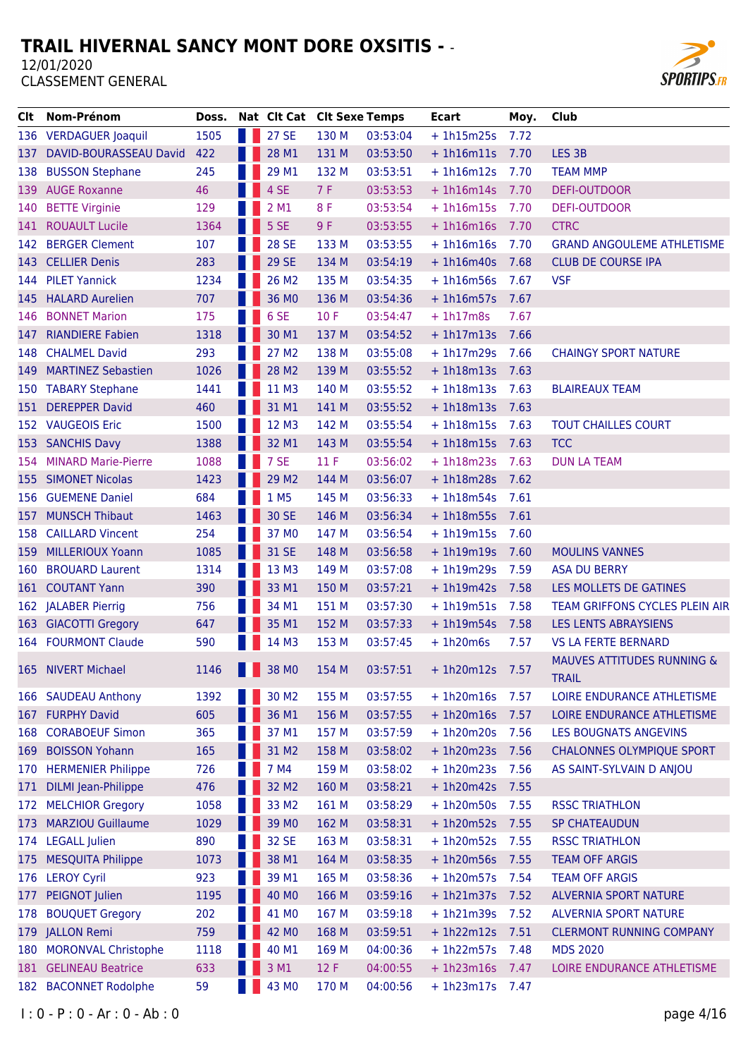

| Clt | Nom-Prénom                 | Doss. | Nat Clt Cat Clt Sexe Temps |       |          | <b>Ecart</b>    | Moy. | Club                                                  |
|-----|----------------------------|-------|----------------------------|-------|----------|-----------------|------|-------------------------------------------------------|
|     | 136 VERDAGUER Joaquil      | 1505  | 27 SE                      | 130 M | 03:53:04 | $+1h15m25s$     | 7.72 |                                                       |
| 137 | DAVID-BOURASSEAU David     | 422   | 28 M1                      | 131 M | 03:53:50 | $+1h16m11s$     | 7.70 | LES <sub>3B</sub>                                     |
| 138 | <b>BUSSON Stephane</b>     | 245   | 29 M1                      | 132 M | 03:53:51 | $+1h16m12s$     | 7.70 | <b>TEAM MMP</b>                                       |
|     | 139 AUGE Roxanne           | 46    | 4 SE                       | 7F    | 03:53:53 | $+1h16m14s$     | 7.70 | <b>DEFI-OUTDOOR</b>                                   |
| 140 | <b>BETTE Virginie</b>      | 129   | 2 M1                       | 8F    | 03:53:54 | $+1h16m15s$     | 7.70 | <b>DEFI-OUTDOOR</b>                                   |
|     | 141 ROUAULT Lucile         | 1364  | 5 SE                       | 9F    | 03:53:55 | $+1h16m16s$     | 7.70 | <b>CTRC</b>                                           |
| 142 | <b>BERGER Clement</b>      | 107   | <b>28 SE</b>               | 133 M | 03:53:55 | $+1h16m16s$     | 7.70 | <b>GRAND ANGOULEME ATHLETISME</b>                     |
| 143 | <b>CELLIER Denis</b>       | 283   | <b>29 SE</b>               | 134 M | 03:54:19 | $+1h16m40s$     | 7.68 | <b>CLUB DE COURSE IPA</b>                             |
| 144 | <b>PILET Yannick</b>       | 1234  | 26 M2                      | 135 M | 03:54:35 | $+1h16m56s$     | 7.67 | <b>VSF</b>                                            |
| 145 | <b>HALARD Aurelien</b>     | 707   | 36 MO                      | 136 M | 03:54:36 | $+1h16m57s$     | 7.67 |                                                       |
| 146 | <b>BONNET Marion</b>       | 175   | 6 SE                       | 10F   | 03:54:47 | $+1h17m8s$      | 7.67 |                                                       |
| 147 | <b>RIANDIERE Fabien</b>    | 1318  | 30 M1                      | 137 M | 03:54:52 | $+1h17m13s$     | 7.66 |                                                       |
| 148 | <b>CHALMEL David</b>       | 293   | 27 M2                      | 138 M | 03:55:08 | $+1h17m29s$     | 7.66 | <b>CHAINGY SPORT NATURE</b>                           |
| 149 | <b>MARTINEZ Sebastien</b>  | 1026  | 28 M2                      | 139 M | 03:55:52 | $+1h18m13s$     | 7.63 |                                                       |
| 150 | <b>TABARY Stephane</b>     | 1441  | 11 M3                      | 140 M | 03:55:52 | $+1h18m13s$     | 7.63 | <b>BLAIREAUX TEAM</b>                                 |
| 151 | <b>DEREPPER David</b>      | 460   | 31 M1                      | 141 M | 03:55:52 | $+1h18m13s$     | 7.63 |                                                       |
| 152 | <b>VAUGEOIS Eric</b>       | 1500  | 12 M3                      | 142 M | 03:55:54 | $+1h18m15s$     | 7.63 | <b>TOUT CHAILLES COURT</b>                            |
| 153 | <b>SANCHIS Davy</b>        | 1388  | 32 M1                      | 143 M | 03:55:54 | $+1h18m15s$     | 7.63 | <b>TCC</b>                                            |
| 154 | <b>MINARD Marie-Pierre</b> | 1088  | 7 SE                       | 11F   | 03:56:02 | $+1h18m23s$     | 7.63 | <b>DUN LA TEAM</b>                                    |
|     | <b>155 SIMONET Nicolas</b> | 1423  | 29 M <sub>2</sub>          | 144 M | 03:56:07 | $+1h18m28s$     | 7.62 |                                                       |
| 156 | <b>GUEMENE Daniel</b>      | 684   | 1 M <sub>5</sub>           | 145 M | 03:56:33 | $+ 1h18m54s$    | 7.61 |                                                       |
| 157 | <b>MUNSCH Thibaut</b>      | 1463  | 30 SE                      | 146 M | 03:56:34 | $+1h18m55s$     | 7.61 |                                                       |
| 158 | <b>CAILLARD Vincent</b>    | 254   | 37 MO                      | 147 M | 03:56:54 | $+1h19m15s$     | 7.60 |                                                       |
| 159 | <b>MILLERIOUX Yoann</b>    | 1085  | 31 SE                      | 148 M | 03:56:58 | $+1h19m19s$     | 7.60 | <b>MOULINS VANNES</b>                                 |
| 160 | <b>BROUARD Laurent</b>     | 1314  | 13 M3                      | 149 M | 03:57:08 | $+1h19m29s$     | 7.59 | <b>ASA DU BERRY</b>                                   |
| 161 | <b>COUTANT Yann</b>        | 390   | 33 M1                      | 150 M | 03:57:21 | $+1h19m42s$     | 7.58 | LES MOLLETS DE GATINES                                |
| 162 | <b>JALABER Pierrig</b>     | 756   | 34 M1                      | 151 M | 03:57:30 | $+1h19m51s$     | 7.58 | TEAM GRIFFONS CYCLES PLEIN AIR                        |
| 163 | <b>GIACOTTI Gregory</b>    | 647   | 35 M1                      | 152 M | 03:57:33 | $+1h19m54s$     | 7.58 | <b>LES LENTS ABRAYSIENS</b>                           |
|     | 164 FOURMONT Claude        | 590   | 14 M3                      | 153 M | 03:57:45 | $+1h20m6s$      | 7.57 | <b>VS LA FERTE BERNARD</b>                            |
| 165 | <b>NIVERT Michael</b>      | 1146  | 38 MO                      | 154 M | 03:57:51 | $+1h20m12s$     | 7.57 | <b>MAUVES ATTITUDES RUNNING &amp;</b><br><b>TRAIL</b> |
| 166 | <b>SAUDEAU Anthony</b>     | 1392  | 30 M2                      | 155 M | 03:57:55 | $+1h20m16s$     | 7.57 | LOIRE ENDURANCE ATHLETISME                            |
| 167 | <b>FURPHY David</b>        | 605   | 36 M1                      | 156 M | 03:57:55 | $+1h20m16s$     | 7.57 | LOIRE ENDURANCE ATHLETISME                            |
| 168 | <b>CORABOEUF Simon</b>     | 365   | 37 M1                      | 157 M | 03:57:59 | $+ 1h20m20s$    | 7.56 | LES BOUGNATS ANGEVINS                                 |
| 169 | <b>BOISSON Yohann</b>      | 165   | 31 M2                      | 158 M | 03:58:02 | $+1h20m23s$     | 7.56 | <b>CHALONNES OLYMPIQUE SPORT</b>                      |
| 170 | <b>HERMENIER Philippe</b>  | 726   | 7 M4                       | 159 M | 03:58:02 | $+1h20m23s$     | 7.56 | AS SAINT-SYLVAIN D ANJOU                              |
| 171 | <b>DILMI</b> Jean-Philippe | 476   | 32 M <sub>2</sub>          | 160 M | 03:58:21 | $+ 1h20m42s$    | 7.55 |                                                       |
| 172 | <b>MELCHIOR Gregory</b>    | 1058  | 33 M2                      | 161 M | 03:58:29 | $+1h20m50s$     | 7.55 | <b>RSSC TRIATHLON</b>                                 |
| 173 | <b>MARZIOU Guillaume</b>   | 1029  | 39 MO                      | 162 M | 03:58:31 | $+ 1h20m52s$    | 7.55 | <b>SP CHATEAUDUN</b>                                  |
| 174 | <b>LEGALL Julien</b>       | 890   | 32 SE                      | 163 M | 03:58:31 | $+1h20m52s$     | 7.55 | <b>RSSC TRIATHLON</b>                                 |
| 175 | <b>MESQUITA Philippe</b>   | 1073  | 38 M1                      | 164 M | 03:58:35 | $+1h20m56s$     | 7.55 | <b>TEAM OFF ARGIS</b>                                 |
| 176 | <b>LEROY Cyril</b>         | 923   | 39 M1                      | 165 M | 03:58:36 | $+ 1h20m57s$    | 7.54 | <b>TEAM OFF ARGIS</b>                                 |
| 177 | <b>PEIGNOT Julien</b>      | 1195  | 40 MO                      | 166 M | 03:59:16 | $+1h21m37s$     | 7.52 | <b>ALVERNIA SPORT NATURE</b>                          |
| 178 | <b>BOUQUET Gregory</b>     | 202   | 41 MO                      | 167 M | 03:59:18 | $+ 1h21m39s$    | 7.52 | <b>ALVERNIA SPORT NATURE</b>                          |
| 179 | <b>JALLON Remi</b>         | 759   | 42 MO                      | 168 M | 03:59:51 | $+1h22m12s$     | 7.51 | <b>CLERMONT RUNNING COMPANY</b>                       |
| 180 | <b>MORONVAL Christophe</b> | 1118  | 40 M1                      | 169 M | 04:00:36 | $+ 1h22m57s$    | 7.48 | <b>MDS 2020</b>                                       |
| 181 | <b>GELINEAU Beatrice</b>   | 633   | 3 M1                       | 12 F  | 04:00:55 | $+1h23m16s$     | 7.47 | LOIRE ENDURANCE ATHLETISME                            |
|     | 182 BACONNET Rodolphe      | 59    | 43 MO                      | 170 M | 04:00:56 | + 1h23m17s 7.47 |      |                                                       |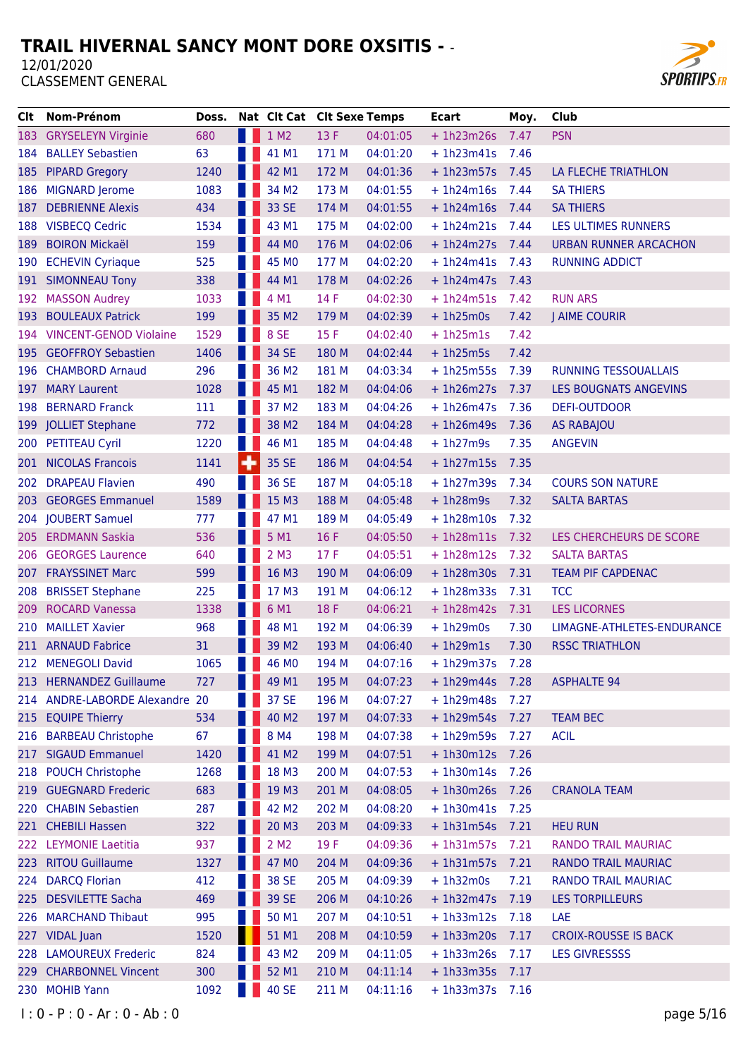

| Clt   | Nom-Prénom                     | Doss. | Nat Clt Cat Clt Sexe Temps |       |          | <b>Ecart</b>      | Moy. | Club                        |
|-------|--------------------------------|-------|----------------------------|-------|----------|-------------------|------|-----------------------------|
|       | 183 GRYSELEYN Virginie         | 680   | 1 M2                       | 13 F  | 04:01:05 | $+1h23m26s$       | 7.47 | <b>PSN</b>                  |
| 184   | <b>BALLEY Sebastien</b>        | 63    | 41 M1                      | 171 M | 04:01:20 | $+1h23m41s$       | 7.46 |                             |
| 185   | <b>PIPARD Gregory</b>          | 1240  | 42 M1                      | 172 M | 04:01:36 | $+1h23m57s$       | 7.45 | LA FLECHE TRIATHLON         |
| 186   | <b>MIGNARD Jerome</b>          | 1083  | 34 M2                      | 173 M | 04:01:55 | $+1h24m16s$       | 7.44 | <b>SA THIERS</b>            |
| 187   | <b>DEBRIENNE Alexis</b>        | 434   | 33 SE                      | 174 M | 04:01:55 | $+1h24m16s$       | 7.44 | <b>SA THIERS</b>            |
|       | 188 VISBECQ Cedric             | 1534  | 43 M1                      | 175 M | 04:02:00 | $+1h24m21s$       | 7.44 | LES ULTIMES RUNNERS         |
| 189   | <b>BOIRON Mickaël</b>          | 159   | 44 MO                      | 176 M | 04:02:06 | $+1h24m27s$       | 7.44 | URBAN RUNNER ARCACHON       |
| 190   | <b>ECHEVIN Cyriaque</b>        | 525   | 45 MO                      | 177 M | 04:02:20 | $+1h24m41s$       | 7.43 | <b>RUNNING ADDICT</b>       |
|       | 191 SIMONNEAU Tony             | 338   | 44 M1                      | 178 M | 04:02:26 | $+1h24m47s$       | 7.43 |                             |
| 192   | <b>MASSON Audrey</b>           | 1033  | 4 M1                       | 14 F  | 04:02:30 | $+1h24m51s$       | 7.42 | <b>RUN ARS</b>              |
| 193   | <b>BOULEAUX Patrick</b>        | 199   | 35 M2                      | 179 M | 04:02:39 | $+1h25m0s$        | 7.42 | <b>J AIME COURIR</b>        |
|       | 194 VINCENT-GENOD Violaine     | 1529  | 8 SE                       | 15 F  | 04:02:40 | $+1h25m1s$        | 7.42 |                             |
| 195   | <b>GEOFFROY Sebastien</b>      | 1406  | 34 SE                      | 180 M | 04:02:44 | $+1h25m5s$        | 7.42 |                             |
| 196   | <b>CHAMBORD Arnaud</b>         | 296   | 36 M2                      | 181 M | 04:03:34 | $+1h25m55s$       | 7.39 | <b>RUNNING TESSOUALLAIS</b> |
| 197   | <b>MARY Laurent</b>            | 1028  | 45 M1                      | 182 M | 04:04:06 | $+1h26m27s$       | 7.37 | LES BOUGNATS ANGEVINS       |
|       | 198 BERNARD Franck             | 111   | 37 M2                      | 183 M | 04:04:26 | $+1h26m47s$       | 7.36 | <b>DEFI-OUTDOOR</b>         |
| 199   | <b>JOLLIET Stephane</b>        | 772   | 38 M2                      | 184 M | 04:04:28 | $+1h26m49s$       | 7.36 | <b>AS RABAJOU</b>           |
|       | 200 PETITEAU Cyril             | 1220  | 46 M1                      | 185 M | 04:04:48 | $+1h27m9s$        | 7.35 | <b>ANGEVIN</b>              |
| 201   | <b>NICOLAS Francois</b>        | 1141  | 35 SE                      | 186 M | 04:04:54 | $+1h27m15s$       | 7.35 |                             |
| 202   | <b>DRAPEAU Flavien</b>         | 490   | 36 SE                      | 187 M | 04:05:18 | $+1h27m39s$       | 7.34 | <b>COURS SON NATURE</b>     |
| 203   | <b>GEORGES Emmanuel</b>        | 1589  | 15 M3                      | 188 M | 04:05:48 | $+1h28m9s$        | 7.32 | <b>SALTA BARTAS</b>         |
|       | 204 JOUBERT Samuel             | 777   | 47 M1                      | 189 M | 04:05:49 | $+1h28m10s$       | 7.32 |                             |
| 205.  | <b>ERDMANN Saskia</b>          | 536   | 5M1                        | 16F   | 04:05:50 | $+1h28m11s$       | 7.32 | LES CHERCHEURS DE SCORE     |
| 206   | <b>GEORGES Laurence</b>        | 640   | 2 M3                       | 17F   | 04:05:51 | $+ 1h28m12s$      | 7.32 | <b>SALTA BARTAS</b>         |
| 207   | <b>FRAYSSINET Marc</b>         | 599   | 16 M3                      | 190 M | 04:06:09 | $+1h28m30s$       | 7.31 | <b>TEAM PIF CAPDENAC</b>    |
| 208   | <b>BRISSET Stephane</b>        | 225   | 17 M3                      | 191 M | 04:06:12 | $+1h28m33s$       | 7.31 | <b>TCC</b>                  |
| 209   | <b>ROCARD Vanessa</b>          | 1338  | 6 M1                       | 18 F  | 04:06:21 | $+1h28m42s$       | 7.31 | <b>LES LICORNES</b>         |
| 210   | <b>MAILLET Xavier</b>          | 968   | 48 M1                      | 192 M | 04:06:39 | $+1h29m0s$        | 7.30 | LIMAGNE-ATHLETES-ENDURANCE  |
|       | 211 ARNAUD Fabrice             | 31    | 39 M2                      | 193 M | 04:06:40 | $+1h29m1s$        | 7.30 | <b>RSSC TRIATHLON</b>       |
|       | 212 MENEGOLI David             | 1065  | 46 MO                      | 194 M | 04:07:16 | $+1h29m37s$       | 7.28 |                             |
| 213   | <b>HERNANDEZ Guillaume</b>     | 727   | 49 M1                      | 195 M | 04:07:23 | $+ 1h29m44s$      | 7.28 | <b>ASPHALTE 94</b>          |
|       | 214 ANDRE-LABORDE Alexandre 20 |       | 37 SE                      | 196 M | 04:07:27 | $+1h29m48s$       | 7.27 |                             |
|       | 215 EQUIPE Thierry             | 534   | 40 M2                      | 197 M | 04:07:33 | $+ 1h29m54s$      | 7.27 | <b>TEAM BEC</b>             |
| 216   | <b>BARBEAU Christophe</b>      | 67    | 8 M4                       | 198 M | 04:07:38 | $+1h29m59s$       | 7.27 | <b>ACIL</b>                 |
| 217   | <b>SIGAUD Emmanuel</b>         | 1420  | 41 M2                      | 199 M | 04:07:51 | $+ 1h30m12s$      | 7.26 |                             |
| 218   | <b>POUCH Christophe</b>        | 1268  | 18 M3                      | 200 M | 04:07:53 | $+ 1h30m14s$      | 7.26 |                             |
| 219   | <b>GUEGNARD Frederic</b>       | 683   | 19 M3                      | 201 M | 04:08:05 | $+1h30m26s$       | 7.26 | <b>CRANOLA TEAM</b>         |
| 220 - | <b>CHABIN Sebastien</b>        | 287   | 42 M <sub>2</sub>          | 202 M | 04:08:20 | $+ 1h30m41s$      | 7.25 |                             |
|       | 221 CHEBILI Hassen             | 322   | 20 M3                      | 203 M | 04:09:33 | $+1h31m54s$       | 7.21 | <b>HEU RUN</b>              |
|       | 222 LEYMONIE Laetitia          | 937   | 2 M2                       | 19F   | 04:09:36 | $+ 1h31m57s$      | 7.21 | RANDO TRAIL MAURIAC         |
| 223.  | <b>RITOU Guillaume</b>         | 1327  | 47 MO                      | 204 M | 04:09:36 | $+ 1h31m57s$      | 7.21 | RANDO TRAIL MAURIAC         |
| 224   | <b>DARCQ Florian</b>           | 412   | 38 SE                      | 205 M | 04:09:39 | $+1h32m0s$        | 7.21 | RANDO TRAIL MAURIAC         |
| 225   | <b>DESVILETTE Sacha</b>        | 469   | 39 SE                      | 206 M | 04:10:26 | $+ 1h32m47s$      | 7.19 | <b>LES TORPILLEURS</b>      |
| 226   | <b>MARCHAND Thibaut</b>        | 995   | 50 M1                      | 207 M | 04:10:51 | $+ 1h33m12s$      | 7.18 | LAE                         |
| 227   | <b>VIDAL Juan</b>              | 1520  | 51 M1                      | 208 M | 04:10:59 | $+ 1h33m20s$      | 7.17 | <b>CROIX-ROUSSE IS BACK</b> |
| 228   | <b>LAMOUREUX Frederic</b>      | 824   | 43 M2                      | 209 M | 04:11:05 | $+1h33m26s$       | 7.17 | <b>LES GIVRESSSS</b>        |
| 229   | <b>CHARBONNEL Vincent</b>      | 300   | 52 M1                      | 210 M | 04:11:14 | $+1h33m35s$       | 7.17 |                             |
| 230   | <b>MOHIB Yann</b>              | 1092  | <b>40 SE</b>               | 211 M | 04:11:16 | $+ 1h33m37s$ 7.16 |      |                             |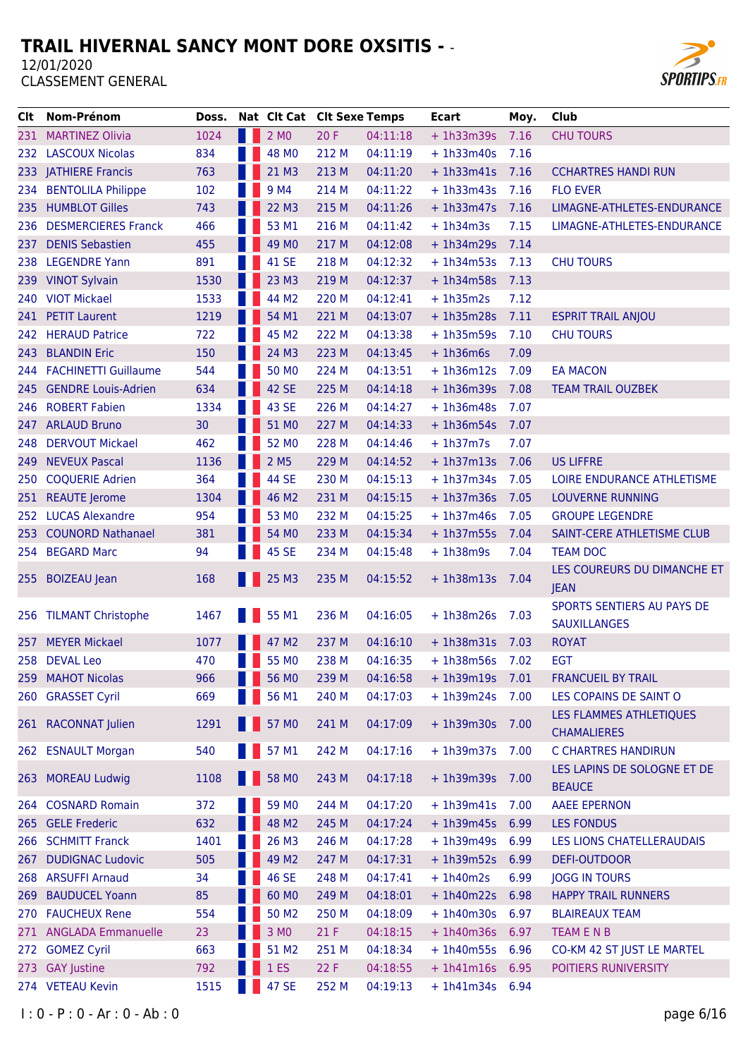

| Clt   | Nom-Prénom                  | Doss. | Nat Clt Cat Clt Sexe Temps |       |          | Ecart             | Moy. | Club                                              |
|-------|-----------------------------|-------|----------------------------|-------|----------|-------------------|------|---------------------------------------------------|
|       | 231 MARTINEZ Olivia         | 1024  | 2 MO                       | 20 F  | 04:11:18 | $+1h33m39s$       | 7.16 | <b>CHU TOURS</b>                                  |
|       | 232 LASCOUX Nicolas         | 834   | 48 MO                      | 212 M | 04:11:19 | $+1h33m40s$       | 7.16 |                                                   |
|       | 233 JATHIERE Francis        | 763   | 21 M3                      | 213 M | 04:11:20 | $+1h33m41s$       | 7.16 | <b>CCHARTRES HANDI RUN</b>                        |
| 234   | <b>BENTOLILA Philippe</b>   | 102   | 9 M4                       | 214 M | 04:11:22 | $+ 1h33m43s$      | 7.16 | <b>FLO EVER</b>                                   |
| 235   | <b>HUMBLOT Gilles</b>       | 743   | 22 M3                      | 215 M | 04:11:26 | $+1h33m47s$       | 7.16 | LIMAGNE-ATHLETES-ENDURANCE                        |
|       | 236 DESMERCIERES Franck     | 466   | 53 M1                      | 216 M | 04:11:42 | $+1h34m3s$        | 7.15 | LIMAGNE-ATHLETES-ENDURANCE                        |
| 237   | <b>DENIS Sebastien</b>      | 455   | 49 MO                      | 217 M | 04:12:08 | $+1h34m29s$       | 7.14 |                                                   |
|       | 238 LEGENDRE Yann           | 891   | 41 SE                      | 218 M | 04:12:32 | $+1h34m53s$       | 7.13 | <b>CHU TOURS</b>                                  |
| 239   | <b>VINOT Sylvain</b>        | 1530  | 23 M3                      | 219 M | 04:12:37 | $+1h34m58s$       | 7.13 |                                                   |
|       | 240 VIOT Mickael            | 1533  | 44 M2                      | 220 M | 04:12:41 | $+1h35m2s$        | 7.12 |                                                   |
|       | 241 PETIT Laurent           | 1219  | 54 M1                      | 221 M | 04:13:07 | $+1h35m28s$       | 7.11 | <b>ESPRIT TRAIL ANJOU</b>                         |
| 242   | <b>HERAUD Patrice</b>       | 722   | 45 M2                      | 222 M | 04:13:38 | $+1h35m59s$       | 7.10 | <b>CHU TOURS</b>                                  |
| 243   | <b>BLANDIN Eric</b>         | 150   | 24 M3                      | 223 M | 04:13:45 | $+1h36m6s$        | 7.09 |                                                   |
| 244 - | <b>FACHINETTI Guillaume</b> | 544   | 50 MO                      | 224 M | 04:13:51 | $+1h36m12s$       | 7.09 | <b>EA MACON</b>                                   |
| 245 - | <b>GENDRE Louis-Adrien</b>  | 634   | 42 SE                      | 225 M | 04:14:18 | $+ 1h36m39s$      | 7.08 | <b>TEAM TRAIL OUZBEK</b>                          |
|       | 246 ROBERT Fabien           | 1334  | 43 SE                      | 226 M | 04:14:27 | $+1h36m48s$       | 7.07 |                                                   |
|       | 247 ARLAUD Bruno            | 30    | 51 MO                      | 227 M | 04:14:33 | $+1h36m54s$       | 7.07 |                                                   |
| 248   | <b>DERVOUT Mickael</b>      | 462   | 52 MO                      | 228 M | 04:14:46 | $+1h37m7s$        | 7.07 |                                                   |
| 249.  | <b>NEVEUX Pascal</b>        | 1136  | 2 M <sub>5</sub>           | 229 M | 04:14:52 | $+1h37m13s$       | 7.06 | <b>US LIFFRE</b>                                  |
| 250   | <b>COQUERIE Adrien</b>      | 364   | 44 SE                      | 230 M | 04:15:13 | $+1h37m34s$       | 7.05 | <b>LOIRE ENDURANCE ATHLETISME</b>                 |
|       | 251 REAUTE Jerome           | 1304  | 46 M2                      | 231 M | 04:15:15 | $+ 1h37m36s$      | 7.05 | <b>LOUVERNE RUNNING</b>                           |
| 252   | <b>LUCAS Alexandre</b>      | 954   | 53 MO                      | 232 M | 04:15:25 | $+1h37m46s$       | 7.05 | <b>GROUPE LEGENDRE</b>                            |
| 253   | <b>COUNORD Nathanael</b>    | 381   | 54 MO                      | 233 M | 04:15:34 | $+1h37m55s$       | 7.04 | SAINT-CERE ATHLETISME CLUB                        |
| 254   | <b>BEGARD Marc</b>          | 94    | 45 SE                      | 234 M | 04:15:48 | $+1h38m9s$        | 7.04 | <b>TEAM DOC</b>                                   |
| 255   | <b>BOIZEAU Jean</b>         | 168   | 25 M3                      | 235 M | 04:15:52 | $+1h38m13s$       | 7.04 | LES COUREURS DU DIMANCHE ET<br><b>JEAN</b>        |
|       | 256 TILMANT Christophe      | 1467  | 55 M1                      | 236 M | 04:16:05 | $+1h38m26s$       | 7.03 | SPORTS SENTIERS AU PAYS DE<br><b>SAUXILLANGES</b> |
| 257.  | <b>MEYER Mickael</b>        | 1077  | 47 M2                      | 237 M | 04:16:10 | $+1h38m31s$       | 7.03 | <b>ROYAT</b>                                      |
|       | 258 DEVAL Leo               | 470   | 55 MO                      | 238 M | 04:16:35 | $+ 1h38m56s$ 7.02 |      | <b>EGT</b>                                        |
| 259   | <b>MAHOT Nicolas</b>        | 966   | 56 M <sub>0</sub>          | 239 M | 04:16:58 | $+1h39m19s$       | 7.01 | <b>FRANCUEIL BY TRAIL</b>                         |
|       | 260 GRASSET Cyril           | 669   | 56 M1                      | 240 M | 04:17:03 | $+ 1h39m24s$      | 7.00 | LES COPAINS DE SAINT O                            |
|       | 261 RACONNAT Julien         | 1291  | 57 MO                      | 241 M | 04:17:09 | $+1h39m30s$       | 7.00 | LES FLAMMES ATHLETIQUES<br><b>CHAMALIERES</b>     |
|       | 262 ESNAULT Morgan          | 540   | 57 M1                      | 242 M | 04:17:16 | $+1h39m37s$       | 7.00 | C CHARTRES HANDIRUN                               |
|       | 263 MOREAU Ludwig           | 1108  | 58 MO                      | 243 M | 04:17:18 | $+1h39m39s$       | 7.00 | LES LAPINS DE SOLOGNE ET DE<br><b>BEAUCE</b>      |
|       | 264 COSNARD Romain          | 372   | 59 MO                      | 244 M | 04:17:20 | $+ 1h39m41s$      | 7.00 | <b>AAEE EPERNON</b>                               |
|       | 265 GELE Frederic           | 632   | 48 M2                      | 245 M | 04:17:24 | $+ 1h39m45s$      | 6.99 | <b>LES FONDUS</b>                                 |
|       | 266 SCHMITT Franck          | 1401  | 26 M3                      | 246 M | 04:17:28 | $+1h39m49s$       | 6.99 | LES LIONS CHATELLERAUDAIS                         |
| 267   | <b>DUDIGNAC Ludovic</b>     | 505   | 49 M2                      | 247 M | 04:17:31 | + 1h39m52s 6.99   |      | DEFI-OUTDOOR                                      |
|       | 268 ARSUFFI Arnaud          | 34    | 46 SE                      | 248 M | 04:17:41 | $+1h40m2s$        | 6.99 | <b>JOGG IN TOURS</b>                              |
| 269   | <b>BAUDUCEL Yoann</b>       | 85    | 60 MO                      | 249 M | 04:18:01 | $+1h40m22s$       | 6.98 | <b>HAPPY TRAIL RUNNERS</b>                        |
|       | 270 FAUCHEUX Rene           | 554   | 50 M2                      | 250 M | 04:18:09 | $+1h40m30s$       | 6.97 | <b>BLAIREAUX TEAM</b>                             |
|       | 271 ANGLADA Emmanuelle      | 23    | 3 MO                       | 21 F  | 04:18:15 | $+1h40m36s$       | 6.97 | TEAM E N B                                        |
| 272   | <b>GOMEZ Cyril</b>          | 663   | 51 M2                      | 251 M | 04:18:34 | $+1h40m55s$       | 6.96 | CO-KM 42 ST JUST LE MARTEL                        |
|       | 273 GAY Justine             | 792   | 1 <sub>ES</sub>            | 22 F  | 04:18:55 | $+ 1h41m16s 6.95$ |      | POITIERS RUNIVERSITY                              |
|       | 274 VETEAU Kevin            | 1515  | 47 SE                      | 252 M | 04:19:13 | $+ 1h41m34s 6.94$ |      |                                                   |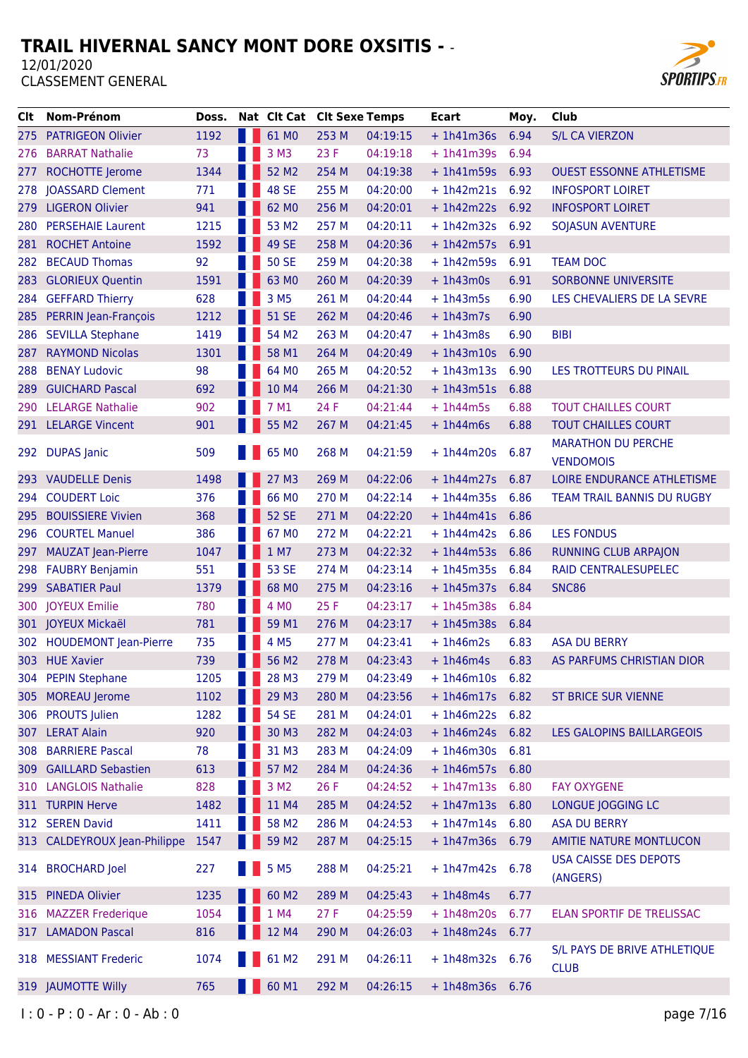

| Clt  | Nom-Prénom                   | Doss. |                                                                                                                                                                                                                                      | Nat Clt Cat Clt Sexe Temps |       |          | <b>Ecart</b>      | Moy. | Club                                          |
|------|------------------------------|-------|--------------------------------------------------------------------------------------------------------------------------------------------------------------------------------------------------------------------------------------|----------------------------|-------|----------|-------------------|------|-----------------------------------------------|
|      | 275 PATRIGEON Olivier        | 1192  |                                                                                                                                                                                                                                      | 61 MO                      | 253 M | 04:19:15 | $+1h41m36s$       | 6.94 | <b>S/L CA VIERZON</b>                         |
| 276  | <b>BARRAT Nathalie</b>       | 73    |                                                                                                                                                                                                                                      | 3 M3                       | 23 F  | 04:19:18 | $+1h41m39s$       | 6.94 |                                               |
| 277  | ROCHOTTE Jerome              | 1344  |                                                                                                                                                                                                                                      | 52 M2                      | 254 M | 04:19:38 | $+1h41m59s$       | 6.93 | <b>OUEST ESSONNE ATHLETISME</b>               |
| 278  | <b>JOASSARD Clement</b>      | 771   |                                                                                                                                                                                                                                      | 48 SE                      | 255 M | 04:20:00 | $+1h42m21s$       | 6.92 | <b>INFOSPORT LOIRET</b>                       |
| 279  | <b>LIGERON Olivier</b>       | 941   |                                                                                                                                                                                                                                      | 62 MO                      | 256 M | 04:20:01 | $+ 1h42m22s$ 6.92 |      | <b>INFOSPORT LOIRET</b>                       |
| 280  | <b>PERSEHAIE Laurent</b>     | 1215  |                                                                                                                                                                                                                                      | 53 M2                      | 257 M | 04:20:11 | $+1h42m32s$       | 6.92 | <b>SOJASUN AVENTURE</b>                       |
| 281  | <b>ROCHET Antoine</b>        | 1592  |                                                                                                                                                                                                                                      | 49 SE                      | 258 M | 04:20:36 | $+1h42m57s$       | 6.91 |                                               |
| 282  | <b>BECAUD Thomas</b>         | 92    |                                                                                                                                                                                                                                      | <b>50 SE</b>               | 259 M | 04:20:38 | $+1h42m59s$       | 6.91 | <b>TEAM DOC</b>                               |
| 283  | <b>GLORIEUX Quentin</b>      | 1591  |                                                                                                                                                                                                                                      | 63 MO                      | 260 M | 04:20:39 | $+1h43m0s$        | 6.91 | SORBONNE UNIVERSITE                           |
| 284  | <b>GEFFARD Thierry</b>       | 628   |                                                                                                                                                                                                                                      | 3 M <sub>5</sub>           | 261 M | 04:20:44 | $+1h43m5s$        | 6.90 | LES CHEVALIERS DE LA SEVRE                    |
| 285  | PERRIN Jean-François         | 1212  |                                                                                                                                                                                                                                      | <b>51 SE</b>               | 262 M | 04:20:46 | $+ 1h43m7s$       | 6.90 |                                               |
| 286  | <b>SEVILLA Stephane</b>      | 1419  |                                                                                                                                                                                                                                      | 54 M2                      | 263 M | 04:20:47 | $+1h43m8s$        | 6.90 | <b>BIBI</b>                                   |
| 287  | <b>RAYMOND Nicolas</b>       | 1301  |                                                                                                                                                                                                                                      | 58 M1                      | 264 M | 04:20:49 | $+1h43m10s$       | 6.90 |                                               |
| 288  | <b>BENAY Ludovic</b>         | 98    |                                                                                                                                                                                                                                      | 64 MO                      | 265 M | 04:20:52 | $+1h43m13s$       | 6.90 | LES TROTTEURS DU PINAIL                       |
| 289  | <b>GUICHARD Pascal</b>       | 692   |                                                                                                                                                                                                                                      | 10 M4                      | 266 M | 04:21:30 | $+1h43m51s$       | 6.88 |                                               |
| 290  | <b>LELARGE Nathalie</b>      | 902   |                                                                                                                                                                                                                                      | 7 M1                       | 24 F  | 04:21:44 | $+1h44m5s$        | 6.88 | <b>TOUT CHAILLES COURT</b>                    |
|      | 291 LELARGE Vincent          | 901   |                                                                                                                                                                                                                                      | 55 M2                      | 267 M | 04:21:45 | $+1h44m6s$        | 6.88 | <b>TOUT CHAILLES COURT</b>                    |
| 292  | <b>DUPAS Janic</b>           | 509   |                                                                                                                                                                                                                                      | 65 MO                      | 268 M | 04:21:59 | $+1h44m20s$       | 6.87 | <b>MARATHON DU PERCHE</b><br><b>VENDOMOIS</b> |
| 293. | <b>VAUDELLE Denis</b>        | 1498  |                                                                                                                                                                                                                                      | 27 M3                      | 269 M | 04:22:06 | $+1h44m27s$       | 6.87 | LOIRE ENDURANCE ATHLETISME                    |
| 294  | <b>COUDERT Loic</b>          | 376   |                                                                                                                                                                                                                                      | 66 MO                      | 270 M | 04:22:14 | $+1h44m35s$       | 6.86 | TEAM TRAIL BANNIS DU RUGBY                    |
| 295  | <b>BOUISSIERE Vivien</b>     | 368   |                                                                                                                                                                                                                                      | <b>52 SE</b>               | 271 M | 04:22:20 | $+1h44m41s$       | 6.86 |                                               |
| 296  | <b>COURTEL Manuel</b>        | 386   |                                                                                                                                                                                                                                      | 67 MO                      | 272 M | 04:22:21 | $+1h44m42s$       | 6.86 | <b>LES FONDUS</b>                             |
| 297  | <b>MAUZAT Jean-Pierre</b>    | 1047  |                                                                                                                                                                                                                                      | 1 M7                       | 273 M | 04:22:32 | $+1h44m53s$       | 6.86 | <b>RUNNING CLUB ARPAJON</b>                   |
| 298  | <b>FAUBRY Benjamin</b>       | 551   |                                                                                                                                                                                                                                      | 53 SE                      | 274 M | 04:23:14 | $+1h45m35s$       | 6.84 | RAID CENTRALESUPELEC                          |
| 299  | <b>SABATIER Paul</b>         | 1379  |                                                                                                                                                                                                                                      | 68 MO                      | 275 M | 04:23:16 | $+1h45m37s$       | 6.84 | <b>SNC86</b>                                  |
| 300  | <b>JOYEUX Emilie</b>         | 780   |                                                                                                                                                                                                                                      | 4 MO                       | 25 F  | 04:23:17 | $+1h45m38s$       | 6.84 |                                               |
|      | 301 JOYEUX Mickaël           | 781   |                                                                                                                                                                                                                                      | 59 M1                      | 276 M | 04:23:17 | $+1h45m38s$       | 6.84 |                                               |
|      | 302 HOUDEMONT Jean-Pierre    | 735   |                                                                                                                                                                                                                                      | 4 M <sub>5</sub>           | 277 M | 04:23:41 | $+1h46m2s$        | 6.83 | <b>ASA DU BERRY</b>                           |
|      | 303 HUE Xavier               | 739   |                                                                                                                                                                                                                                      | 56 M2                      | 278 M | 04:23:43 | $+1h46m4s$        | 6.83 | AS PARFUMS CHRISTIAN DIOR                     |
|      | 304 PEPIN Stephane           | 1205  | <b>The Contract of the Contract of the Contract of the Contract of the Contract of the Contract of the Contract of the Contract of the Contract of the Contract of the Contract of The Contract of The Contract of The Contract </b> | 28 M3                      | 279 M | 04:23:49 | $+1h46m10s$       | 6.82 |                                               |
|      | 305 MOREAU Jerome            | 1102  |                                                                                                                                                                                                                                      | 29 M3                      | 280 M | 04:23:56 | $+1h46m17s$       | 6.82 | <b>ST BRICE SUR VIENNE</b>                    |
|      | 306 PROUTS Julien            | 1282  |                                                                                                                                                                                                                                      | <b>54 SE</b>               | 281 M | 04:24:01 | $+1h46m22s$       | 6.82 |                                               |
|      | 307 LERAT Alain              | 920   |                                                                                                                                                                                                                                      | 30 M3                      | 282 M | 04:24:03 | $+1h46m24s$       | 6.82 | <b>LES GALOPINS BAILLARGEOIS</b>              |
| 308  | <b>BARRIERE Pascal</b>       | 78    |                                                                                                                                                                                                                                      | 31 M3                      | 283 M | 04:24:09 | $+1h46m30s$       | 6.81 |                                               |
|      | 309 GAILLARD Sebastien       | 613   |                                                                                                                                                                                                                                      | 57 M2                      | 284 M | 04:24:36 | + 1h46m57s 6.80   |      |                                               |
| 310  | <b>LANGLOIS Nathalie</b>     | 828   |                                                                                                                                                                                                                                      | 3 M <sub>2</sub>           | 26 F  | 04:24:52 | $+1h47m13s$       | 6.80 | <b>FAY OXYGENE</b>                            |
|      | 311 TURPIN Herve             | 1482  |                                                                                                                                                                                                                                      | 11 M4                      | 285 M | 04:24:52 | $+1h47m13s$       | 6.80 | LONGUE JOGGING LC                             |
|      | 312 SEREN David              | 1411  |                                                                                                                                                                                                                                      | 58 M2                      | 286 M | 04:24:53 | $+1h47m14s$       | 6.80 | <b>ASA DU BERRY</b>                           |
|      | 313 CALDEYROUX Jean-Philippe | 1547  |                                                                                                                                                                                                                                      | 59 M2                      | 287 M | 04:25:15 | + 1h47m36s 6.79   |      | AMITIE NATURE MONTLUCON                       |
|      | 314 BROCHARD Joel            | 227   |                                                                                                                                                                                                                                      | 5 M <sub>5</sub>           | 288 M | 04:25:21 | $+1h47m42s$       | 6.78 | <b>USA CAISSE DES DEPOTS</b><br>(ANGERS)      |
| 315  | <b>PINEDA Olivier</b>        | 1235  |                                                                                                                                                                                                                                      | 60 M2                      | 289 M | 04:25:43 | $+1h48m4s$        | 6.77 |                                               |
|      | 316 MAZZER Frederique        | 1054  |                                                                                                                                                                                                                                      | 1 M4                       | 27F   | 04:25:59 | $+1h48m20s$       | 6.77 | ELAN SPORTIF DE TRELISSAC                     |
|      | 317 LAMADON Pascal           | 816   |                                                                                                                                                                                                                                      | 12 M4                      | 290 M | 04:26:03 | $+1h48m24s$       | 6.77 |                                               |
|      | 318 MESSIANT Frederic        | 1074  |                                                                                                                                                                                                                                      | 61 M2                      | 291 M | 04:26:11 | $+1h48m32s$       | 6.76 | S/L PAYS DE BRIVE ATHLETIQUE<br><b>CLUB</b>   |
|      | 319 JAUMOTTE Willy           | 765   |                                                                                                                                                                                                                                      | 60 M1                      | 292 M | 04:26:15 | $+1h48m36s$       | 6.76 |                                               |
|      |                              |       |                                                                                                                                                                                                                                      |                            |       |          |                   |      |                                               |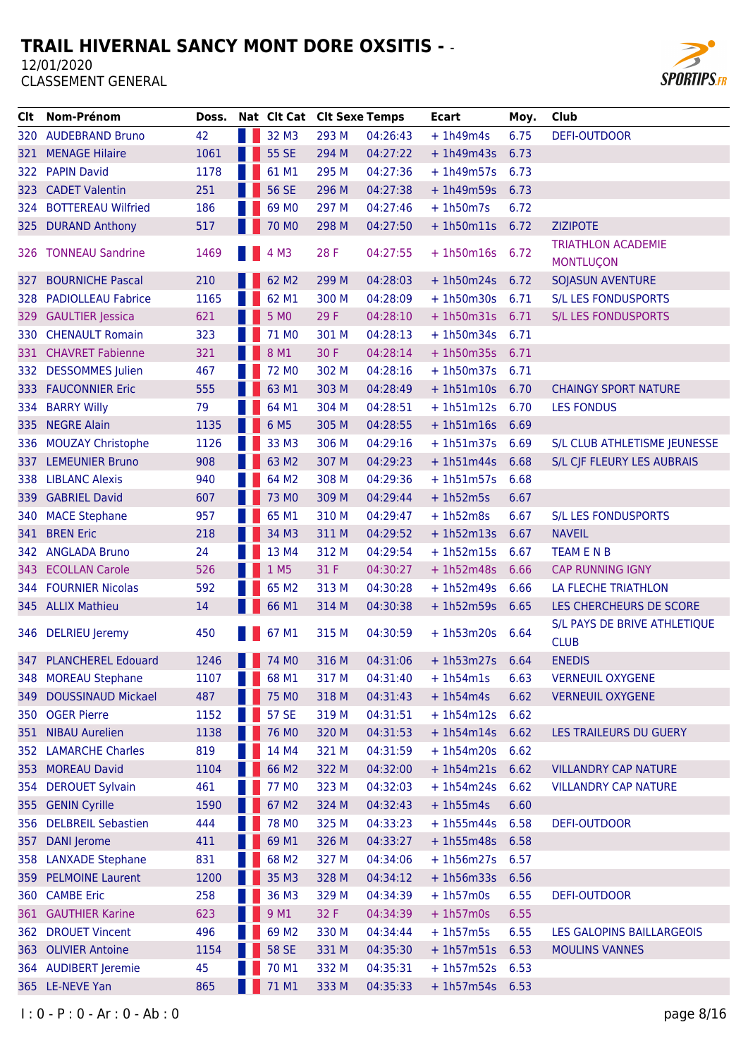

| CIt   | <b>Nom-Prénom</b>         | Doss. | Nat Clt Cat Clt Sexe Temps |       |          | Ecart             | Moy. | Club                                          |
|-------|---------------------------|-------|----------------------------|-------|----------|-------------------|------|-----------------------------------------------|
| 320   | <b>AUDEBRAND Bruno</b>    | 42    | 32 M3                      | 293 M | 04:26:43 | $+1h49m4s$        | 6.75 | <b>DEFI-OUTDOOR</b>                           |
| 321   | <b>MENAGE Hilaire</b>     | 1061  | 55 SE                      | 294 M | 04:27:22 | $+1h49m43s$       | 6.73 |                                               |
| 322.  | <b>PAPIN David</b>        | 1178  | 61 M1                      | 295 M | 04:27:36 | $+1h49m57s$       | 6.73 |                                               |
| 323 . | <b>CADET Valentin</b>     | 251   | <b>56 SE</b>               | 296 M | 04:27:38 | $+1h49m59s$       | 6.73 |                                               |
| 324   | <b>BOTTEREAU Wilfried</b> | 186   | 69 MO                      | 297 M | 04:27:46 | $+1h50m7s$        | 6.72 |                                               |
| 325   | <b>DURAND Anthony</b>     | 517   | 70 MO                      | 298 M | 04:27:50 | $+1h50m11s$       | 6.72 | <b>ZIZIPOTE</b>                               |
|       | 326 TONNEAU Sandrine      | 1469  | 4 M3                       | 28 F  | 04:27:55 | $+1h50m16s$       | 6.72 | <b>TRIATHLON ACADEMIE</b><br><b>MONTLUÇON</b> |
| 327   | <b>BOURNICHE Pascal</b>   | 210   | 62 M2                      | 299 M | 04:28:03 | $+1h50m24s$       | 6.72 | SOJASUN AVENTURE                              |
| 328   | <b>PADIOLLEAU Fabrice</b> | 1165  | 62 M1                      | 300 M | 04:28:09 | $+1h50m30s$       | 6.71 | <b>S/L LES FONDUSPORTS</b>                    |
| 329   | <b>GAULTIER Jessica</b>   | 621   | 5 M <sub>0</sub>           | 29 F  | 04:28:10 | $+1h50m31s$       | 6.71 | <b>S/L LES FONDUSPORTS</b>                    |
| 330   | <b>CHENAULT Romain</b>    | 323   | 71 MO                      | 301 M | 04:28:13 | $+1h50m34s$       | 6.71 |                                               |
| 331   | <b>CHAVRET Fabienne</b>   | 321   | 8 M1                       | 30 F  | 04:28:14 | + 1h50m35s 6.71   |      |                                               |
| 332   | <b>DESSOMMES</b> Julien   | 467   | 72 M <sub>0</sub>          | 302 M | 04:28:16 | $+ 1h50m37s$      | 6.71 |                                               |
| 333.  | <b>FAUCONNIER Eric</b>    | 555   | 63 M1                      | 303 M | 04:28:49 | $+ 1h51m10s$      | 6.70 | <b>CHAINGY SPORT NATURE</b>                   |
| 334   | <b>BARRY Willy</b>        | 79    | 64 M1                      | 304 M | 04:28:51 | $+1h51m12s$       | 6.70 | <b>LES FONDUS</b>                             |
| 335   | <b>NEGRE Alain</b>        | 1135  | 6 M <sub>5</sub>           | 305 M | 04:28:55 | $+1h51m16s$       | 6.69 |                                               |
| 336   | <b>MOUZAY Christophe</b>  | 1126  | 33 M3                      | 306 M | 04:29:16 | $+1h51m37s$       | 6.69 | S/L CLUB ATHLETISME JEUNESSE                  |
| 337   | <b>LEMEUNIER Bruno</b>    | 908   | 63 M2                      | 307 M | 04:29:23 | $+1h51m44s$       | 6.68 | S/L CJF FLEURY LES AUBRAIS                    |
|       | 338 LIBLANC Alexis        | 940   | 64 M2                      | 308 M | 04:29:36 | $+1h51m57s$       | 6.68 |                                               |
| 339   | <b>GABRIEL David</b>      | 607   | 73 MO                      | 309 M | 04:29:44 | $+1h52m5s$        | 6.67 |                                               |
| 340   | <b>MACE Stephane</b>      | 957   | 65 M1                      | 310 M | 04:29:47 | $+1h52m8s$        | 6.67 | S/L LES FONDUSPORTS                           |
| 341   | <b>BREN Eric</b>          | 218   | 34 M3                      | 311 M | 04:29:52 | $+1h52m13s$       | 6.67 | <b>NAVEIL</b>                                 |
| 342   | <b>ANGLADA Bruno</b>      | 24    | 13 M4                      | 312 M | 04:29:54 | $+1h52m15s$       | 6.67 | <b>TEAM E N B</b>                             |
| 343 - | <b>ECOLLAN Carole</b>     | 526   | 1 M5                       | 31 F  | 04:30:27 | $+1h52m48s$       | 6.66 | <b>CAP RUNNING IGNY</b>                       |
| 344 - | <b>FOURNIER Nicolas</b>   | 592   | 65 M2                      | 313 M | 04:30:28 | $+1h52m49s$       | 6.66 | LA FLECHE TRIATHLON                           |
|       | 345 ALLIX Mathieu         | 14    | 66 M1                      | 314 M | 04:30:38 | $+1h52m59s$       | 6.65 | LES CHERCHEURS DE SCORE                       |
|       | 346 DELRIEU Jeremy        | 450   | 67 M1                      | 315 M | 04:30:59 | $+1h53m20s$       | 6.64 | S/L PAYS DE BRIVE ATHLETIQUE<br><b>CLUB</b>   |
|       | 347 PLANCHEREL Edouard    | 1246  | 74 MO                      | 316 M | 04:31:06 | $+ 1h53m27s 6.64$ |      | <b>ENEDIS</b>                                 |
|       | 348 MOREAU Stephane       | 1107  | 68 M1                      | 317 M | 04:31:40 | $+1h54m1s$        | 6.63 | <b>VERNEUIL OXYGENE</b>                       |
| 349   | <b>DOUSSINAUD Mickael</b> | 487   | 75 MO                      | 318 M | 04:31:43 | $+1h54m4s$        | 6.62 | <b>VERNEUIL OXYGENE</b>                       |
|       | 350 OGER Pierre           | 1152  | <b>57 SE</b>               | 319 M | 04:31:51 | $+1h54m12s$       | 6.62 |                                               |
| 351   | <b>NIBAU Aurelien</b>     | 1138  | 76 MO                      | 320 M | 04:31:53 | $+ 1h54m14s 6.62$ |      | LES TRAILEURS DU GUERY                        |
|       | 352 LAMARCHE Charles      | 819   | 14 M4                      | 321 M | 04:31:59 | $+1h54m20s$       | 6.62 |                                               |
| 353   | <b>MOREAU David</b>       | 1104  | 66 M2                      | 322 M | 04:32:00 | $+1h54m21s$       | 6.62 | <b>VILLANDRY CAP NATURE</b>                   |
| 354 - | <b>DEROUET Sylvain</b>    | 461   | 77 MO                      | 323 M | 04:32:03 | $+ 1h54m24s 6.62$ |      | <b>VILLANDRY CAP NATURE</b>                   |
| 355   | <b>GENIN Cyrille</b>      | 1590  | 67 M2                      | 324 M | 04:32:43 | $+1h55m4s$        | 6.60 |                                               |
| 356   | <b>DELBREIL Sebastien</b> | 444   | <b>78 MO</b>               | 325 M | 04:33:23 | $+1h55m44s$       | 6.58 | <b>DEFI-OUTDOOR</b>                           |
| 357   | <b>DANI</b> Jerome        | 411   | 69 M1                      | 326 M | 04:33:27 | $+1h55m48s$       | 6.58 |                                               |
| 358   | <b>LANXADE Stephane</b>   | 831   | 68 M2                      | 327 M | 04:34:06 | $+1h56m27s$       | 6.57 |                                               |
| 359   | <b>PELMOINE Laurent</b>   | 1200  | 35 M3                      | 328 M | 04:34:12 | $+1h56m33s$       | 6.56 |                                               |
| 360 - | <b>CAMBE Eric</b>         | 258   | 36 M3                      | 329 M | 04:34:39 | $+1h57m0s$        | 6.55 | DEFI-OUTDOOR                                  |
| 361   | <b>GAUTHIER Karine</b>    | 623   | 9 M1                       | 32 F  | 04:34:39 | $+1h57m0s$        | 6.55 |                                               |
| 362   | <b>DROUET Vincent</b>     | 496   | 69 M <sub>2</sub>          | 330 M | 04:34:44 | $+1h57m5s$        | 6.55 | LES GALOPINS BAILLARGEOIS                     |
| 363   | <b>OLIVIER Antoine</b>    | 1154  | <b>58 SE</b>               | 331 M | 04:35:30 | $+ 1h57m51s$      | 6.53 | <b>MOULINS VANNES</b>                         |
|       | 364 AUDIBERT Jeremie      | 45    | 70 M1                      | 332 M | 04:35:31 | $+1h57m52s$       | 6.53 |                                               |
|       | 365 LE-NEVE Yan           | 865   | 71 M1                      | 333 M | 04:35:33 | $+ 1h57m54s$ 6.53 |      |                                               |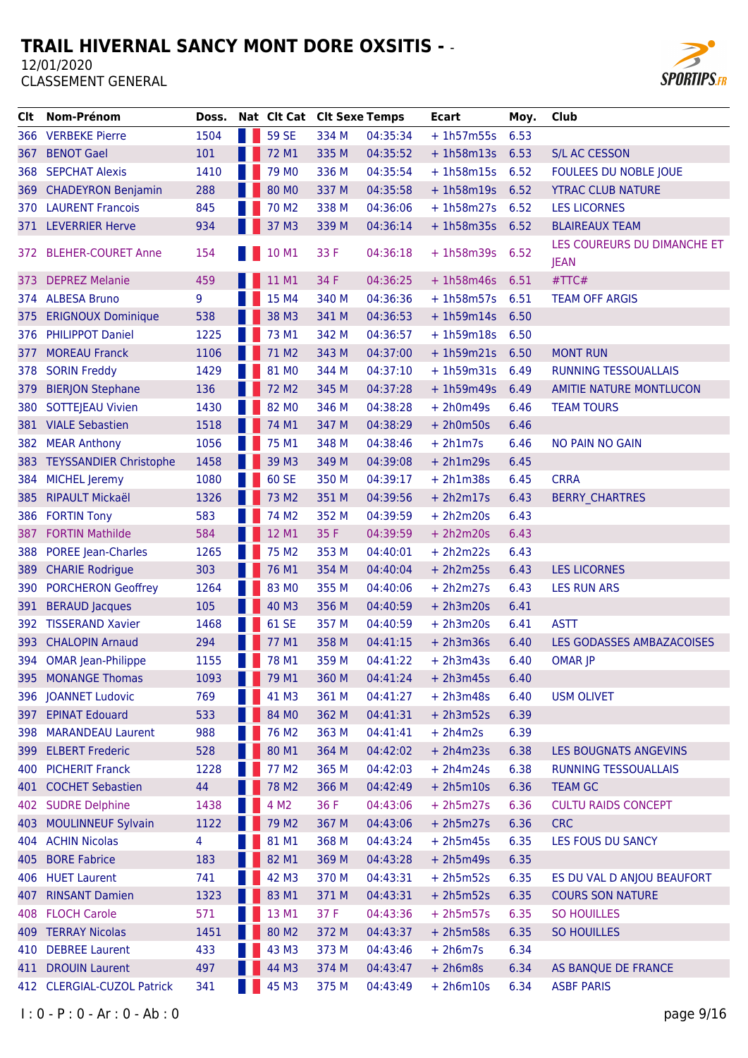

| CIt.         | Nom-Prénom                 | Doss. | Nat Clt Cat Clt Sexe Temps |       |          | <b>Ecart</b>    | Moy. | Club                                       |
|--------------|----------------------------|-------|----------------------------|-------|----------|-----------------|------|--------------------------------------------|
|              | 366 VERBEKE Pierre         | 1504  | <b>59 SE</b>               | 334 M | 04:35:34 | $+1h57m55s$     | 6.53 |                                            |
| 367          | <b>BENOT Gael</b>          | 101   | 72 M1                      | 335 M | 04:35:52 | + 1h58m13s 6.53 |      | <b>S/L AC CESSON</b>                       |
| 368          | <b>SEPCHAT Alexis</b>      | 1410  | 79 M <sub>0</sub>          | 336 M | 04:35:54 | $+1h58m15s$     | 6.52 | FOULEES DU NOBLE JOUE                      |
| 369          | <b>CHADEYRON Benjamin</b>  | 288   | 80 MO                      | 337 M | 04:35:58 | $+1h58m19s$     | 6.52 | <b>YTRAC CLUB NATURE</b>                   |
|              | 370 LAURENT Francois       | 845   | 70 M <sub>2</sub>          | 338 M | 04:36:06 | $+1h58m27s$     | 6.52 | <b>LES LICORNES</b>                        |
|              | 371 LEVERRIER Herve        | 934   | 37 M3                      | 339 M | 04:36:14 | + 1h58m35s 6.52 |      | <b>BLAIREAUX TEAM</b>                      |
| 372.         | <b>BLEHER-COURET Anne</b>  | 154   | 10 M1                      | 33 F  | 04:36:18 | $+1h58m39s$     | 6.52 | LES COUREURS DU DIMANCHE ET<br><b>JEAN</b> |
| 373.         | <b>DEPREZ Melanie</b>      | 459   | 11 M1                      | 34 F  | 04:36:25 | $+1h58m46s$     | 6.51 | #TTC#                                      |
|              | 374 ALBESA Bruno           | 9     | 15 M4                      | 340 M | 04:36:36 | $+1h58m57s$     | 6.51 | <b>TEAM OFF ARGIS</b>                      |
| 375.         | <b>ERIGNOUX Dominique</b>  | 538   | 38 M3                      | 341 M | 04:36:53 | $+ 1h59m14s$    | 6.50 |                                            |
| 376          | <b>PHILIPPOT Daniel</b>    | 1225  | 73 M1                      | 342 M | 04:36:57 | $+1h59m18s$     | 6.50 |                                            |
| 377          | <b>MOREAU Franck</b>       | 1106  | 71 M2                      | 343 M | 04:37:00 | $+1h59m21s$     | 6.50 | <b>MONT RUN</b>                            |
| 378          | <b>SORIN Freddy</b>        | 1429  | 81 MO                      | 344 M | 04:37:10 | $+1h59m31s$     | 6.49 | <b>RUNNING TESSOUALLAIS</b>                |
| 379          | <b>BIERJON Stephane</b>    | 136   | 72 M2                      | 345 M | 04:37:28 | $+1h59m49s$     | 6.49 | <b>AMITIE NATURE MONTLUCON</b>             |
| 380          | <b>SOTTEJEAU Vivien</b>    | 1430  | 82 MO                      | 346 M | 04:38:28 | $+ 2h0m49s$     | 6.46 | <b>TEAM TOURS</b>                          |
|              | 381 VIALE Sebastien        | 1518  | 74 M1                      | 347 M | 04:38:29 | $+ 2h0m50s$     | 6.46 |                                            |
| 382          | <b>MEAR Anthony</b>        | 1056  | 75 M1                      | 348 M | 04:38:46 | $+ 2h1m7s$      | 6.46 | NO PAIN NO GAIN                            |
|              | 383 TEYSSANDIER Christophe | 1458  | 39 M3                      | 349 M | 04:39:08 | $+ 2h1m29s$     | 6.45 |                                            |
| 384          | <b>MICHEL Jeremy</b>       | 1080  | 60 SE                      | 350 M | 04:39:17 | $+ 2h1m38s$     | 6.45 | <b>CRRA</b>                                |
| 385          | <b>RIPAULT Mickaël</b>     | 1326  | 73 M2                      | 351 M | 04:39:56 | $+ 2h2m17s$     | 6.43 | <b>BERRY CHARTRES</b>                      |
| 386          | <b>FORTIN Tony</b>         | 583   | 74 M2                      | 352 M | 04:39:59 | $+ 2h2m20s$     | 6.43 |                                            |
| 387          | <b>FORTIN Mathilde</b>     | 584   | 12 M1                      | 35 F  | 04:39:59 | $+ 2h2m20s$     | 6.43 |                                            |
| 388          | <b>POREE Jean-Charles</b>  | 1265  | 75 M2                      | 353 M | 04:40:01 | $+ 2h2m22s$     | 6.43 |                                            |
| 389          | <b>CHARIE Rodrigue</b>     | 303   | 76 M1                      | 354 M | 04:40:04 | $+ 2h2m25s$     | 6.43 | <b>LES LICORNES</b>                        |
| 390          | <b>PORCHERON Geoffrey</b>  | 1264  | 83 MO                      | 355 M | 04:40:06 | $+ 2h2m27s$     | 6.43 | <b>LES RUN ARS</b>                         |
|              | <b>BERAUD Jacques</b>      | 105   | 40 M3                      | 356 M | 04:40:59 | $+ 2h3m20s$     | 6.41 |                                            |
| 391<br>392 - | <b>TISSERAND Xavier</b>    | 1468  | 61 SE                      | 357 M | 04:40:59 | $+ 2h3m20s$     | 6.41 | <b>ASTT</b>                                |
| 393.         | <b>CHALOPIN Arnaud</b>     | 294   | 77 M1                      | 358 M |          | $+ 2h3m36s$     | 6.40 | LES GODASSES AMBAZACOISES                  |
|              |                            |       | 78 M1                      |       | 04:41:15 |                 |      |                                            |
|              | 394 OMAR Jean-Philippe     | 1155  |                            | 359 M | 04:41:22 | $+ 2h3m43s$     | 6.40 | <b>OMAR JP</b>                             |
| 395          | <b>MONANGE Thomas</b>      | 1093  | 79 M1                      | 360 M | 04:41:24 | $+ 2h3m45s$     | 6.40 |                                            |
|              | 396 JOANNET Ludovic        | 769   | 41 M3                      | 361 M | 04:41:27 | $+ 2h3m48s$     | 6.40 | <b>USM OLIVET</b>                          |
|              | 397 EPINAT Edouard         | 533   | 84 MO                      | 362 M | 04:41:31 | $+ 2h3m52s$     | 6.39 |                                            |
| 398          | <b>MARANDEAU Laurent</b>   | 988   | 76 M <sub>2</sub>          | 363 M | 04:41:41 | $+ 2h4m2s$      | 6.39 |                                            |
| 399          | <b>ELBERT Frederic</b>     | 528   | 80 M1                      | 364 M | 04:42:02 | $+ 2h4m23s$     | 6.38 | LES BOUGNATS ANGEVINS                      |
|              | 400 PICHERIT Franck        | 1228  | 77 M2                      | 365 M | 04:42:03 | $+ 2h4m24s$     | 6.38 | RUNNING TESSOUALLAIS                       |
|              | 401 COCHET Sebastien       | 44    | 78 M2                      | 366 M | 04:42:49 | $+ 2h5m10s$     | 6.36 | <b>TEAM GC</b>                             |
| 402          | <b>SUDRE Delphine</b>      | 1438  | 4 M2                       | 36 F  | 04:43:06 | $+ 2h5m27s$     | 6.36 | <b>CULTU RAIDS CONCEPT</b>                 |
| 403          | <b>MOULINNEUF Sylvain</b>  | 1122  | 79 M <sub>2</sub>          | 367 M | 04:43:06 | $+ 2h5m27s$     | 6.36 | <b>CRC</b>                                 |
|              | 404 ACHIN Nicolas          | 4     | 81 M1                      | 368 M | 04:43:24 | $+ 2h5m45s$     | 6.35 | LES FOUS DU SANCY                          |
| 405          | <b>BORE Fabrice</b>        | 183   | 82 M1                      | 369 M | 04:43:28 | $+ 2h5m49s$     | 6.35 |                                            |
|              | 406 HUET Laurent           | 741   | 42 M3                      | 370 M | 04:43:31 | $+ 2h5m52s$     | 6.35 | ES DU VAL D ANJOU BEAUFORT                 |
| 407 -        | <b>RINSANT Damien</b>      | 1323  | 83 M1                      | 371 M | 04:43:31 | $+ 2h5m52s$     | 6.35 | <b>COURS SON NATURE</b>                    |
| 408          | <b>FLOCH Carole</b>        | 571   | 13 M1                      | 37 F  | 04:43:36 | $+ 2h5m57s$     | 6.35 | <b>SO HOUILLES</b>                         |
|              | 409 TERRAY Nicolas         | 1451  | 80 M2                      | 372 M | 04:43:37 | $+ 2h5m58s$     | 6.35 | SO HOUILLES                                |
| 410          | <b>DEBREE Laurent</b>      | 433   | 43 M3                      | 373 M | 04:43:46 | $+ 2h6m7s$      | 6.34 |                                            |
| 411          | <b>DROUIN Laurent</b>      | 497   | 44 M3                      | 374 M | 04:43:47 | $+ 2h6m8s$      | 6.34 | AS BANQUE DE FRANCE                        |
|              | 412 CLERGIAL-CUZOL Patrick | 341   | 45 M3                      | 375 M | 04:43:49 | $+ 2h6m10s$     | 6.34 | <b>ASBF PARIS</b>                          |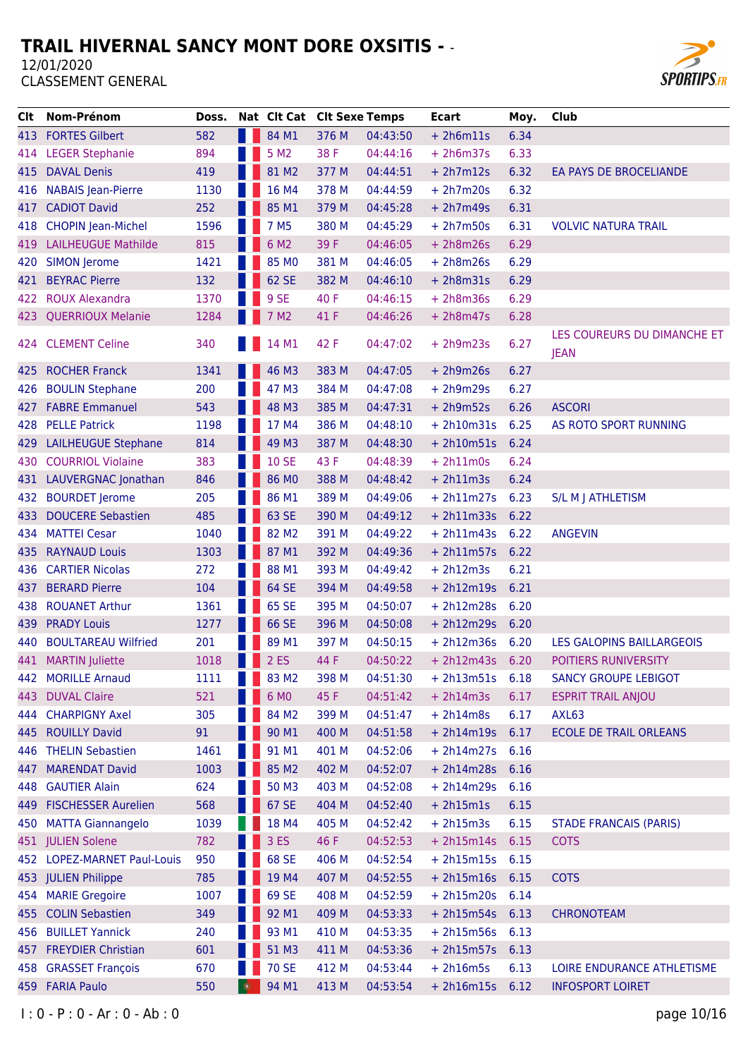

| Clt.  | Nom-Prénom                  | Doss. | Nat Clt Cat Clt Sexe Temps |       |          | <b>Ecart</b>      | Moy. | Club                                       |
|-------|-----------------------------|-------|----------------------------|-------|----------|-------------------|------|--------------------------------------------|
| 413 - | <b>FORTES Gilbert</b>       | 582   | 84 M1                      | 376 M | 04:43:50 | $+ 2h6m11s$       | 6.34 |                                            |
| 414   | <b>LEGER Stephanie</b>      | 894   | 5 M <sub>2</sub>           | 38 F  | 04:44:16 | $+ 2h6m37s$       | 6.33 |                                            |
| 415   | <b>DAVAL Denis</b>          | 419   | 81 M2                      | 377 M | 04:44:51 | $+ 2h7m12s$       | 6.32 | EA PAYS DE BROCELIANDE                     |
| 416   | <b>NABAIS Jean-Pierre</b>   | 1130  | 16 M4                      | 378 M | 04:44:59 | $+ 2h7m20s$       | 6.32 |                                            |
| 417   | <b>CADIOT David</b>         | 252   | 85 M1                      | 379 M | 04:45:28 | $+ 2h7m49s$       | 6.31 |                                            |
| 418   | <b>CHOPIN Jean-Michel</b>   | 1596  | 7 M <sub>5</sub>           | 380 M | 04:45:29 | $+ 2h7m50s$       | 6.31 | <b>VOLVIC NATURA TRAIL</b>                 |
| 419   | <b>LAILHEUGUE Mathilde</b>  | 815   | 6 M2                       | 39 F  | 04:46:05 | $+ 2h8m26s$       | 6.29 |                                            |
| 420   | <b>SIMON Jerome</b>         | 1421  | 85 MO                      | 381 M | 04:46:05 | $+ 2h8m26s$       | 6.29 |                                            |
| 421   | <b>BEYRAC Pierre</b>        | 132   | 62 SE                      | 382 M | 04:46:10 | $+ 2h8m31s$       | 6.29 |                                            |
| 422   | <b>ROUX Alexandra</b>       | 1370  | 9 SE                       | 40 F  | 04:46:15 | $+2h8m36s$        | 6.29 |                                            |
| 423   | <b>QUERRIOUX Melanie</b>    | 1284  | 7 M <sub>2</sub>           | 41 F  | 04:46:26 | $+ 2h8m47s$       | 6.28 |                                            |
|       | 424 CLEMENT Celine          | 340   | 14 M1                      | 42 F  | 04:47:02 | $+ 2h9m23s$       | 6.27 | LES COUREURS DU DIMANCHE ET<br><b>JEAN</b> |
| 425.  | <b>ROCHER Franck</b>        | 1341  | 46 M3                      | 383 M | 04:47:05 | $+ 2h9m26s$       | 6.27 |                                            |
| 426   | <b>BOULIN Stephane</b>      | 200   | 47 M3                      | 384 M | 04:47:08 | $+ 2h9m29s$       | 6.27 |                                            |
| 427.  | <b>FABRE Emmanuel</b>       | 543   | 48 M3                      | 385 M | 04:47:31 | $+ 2h9m52s$       | 6.26 | <b>ASCORI</b>                              |
| 428   | <b>PELLE Patrick</b>        | 1198  | 17 M4                      | 386 M | 04:48:10 | $+ 2h10m31s$      | 6.25 | AS ROTO SPORT RUNNING                      |
| 429   | <b>LAILHEUGUE Stephane</b>  | 814   | 49 M3                      | 387 M | 04:48:30 | $+ 2h10m51s$      | 6.24 |                                            |
| 430   | <b>COURRIOL Violaine</b>    | 383   | <b>10 SE</b>               | 43 F  | 04:48:39 | $+ 2h11m0s$       | 6.24 |                                            |
|       | 431 LAUVERGNAC Jonathan     | 846   | 86 MO                      | 388 M | 04:48:42 | $+ 2h11m3s$       | 6.24 |                                            |
| 432   | <b>BOURDET Jerome</b>       | 205   | 86 M1                      | 389 M | 04:49:06 | $+ 2h11m27s$      | 6.23 | S/L M J ATHLETISM                          |
| 433   | <b>DOUCERE Sebastien</b>    | 485   | 63 SE                      | 390 M | 04:49:12 | $+ 2h11m33s$      | 6.22 |                                            |
| 434   | <b>MATTEI Cesar</b>         | 1040  | 82 M <sub>2</sub>          | 391 M | 04:49:22 | $+ 2h11m43s$      | 6.22 | <b>ANGEVIN</b>                             |
| 435   | <b>RAYNAUD Louis</b>        | 1303  | 87 M1                      | 392 M | 04:49:36 | $+ 2h11m57s$      | 6.22 |                                            |
| 436   | <b>CARTIER Nicolas</b>      | 272   | 88 M1                      | 393 M | 04:49:42 | $+ 2h12m3s$       | 6.21 |                                            |
| 437   | <b>BERARD Pierre</b>        | 104   | 64 SE                      | 394 M | 04:49:58 | $+ 2h12m19s$      | 6.21 |                                            |
| 438   | <b>ROUANET Arthur</b>       | 1361  | 65 SE                      | 395 M | 04:50:07 | $+ 2h12m28s$      | 6.20 |                                            |
| 439   | <b>PRADY Louis</b>          | 1277  | 66 SE                      | 396 M | 04:50:08 | $+ 2h12m29s$      | 6.20 |                                            |
| 440   | <b>BOULTAREAU Wilfried</b>  | 201   | 89 M1                      | 397 M | 04:50:15 | $+ 2h12m36s$      | 6.20 | LES GALOPINS BAILLARGEOIS                  |
|       | 441 MARTIN Juliette         | 1018  | 2ES                        | 44 F  | 04:50:22 | $+ 2h12m43s$      | 6.20 | POITIERS RUNIVERSITY                       |
|       | 442 MORILLE Arnaud          | 1111  | 83 M2                      | 398 M | 04:51:30 | $+ 2h13m51s$      | 6.18 | <b>SANCY GROUPE LEBIGOT</b>                |
| 443   | <b>DUVAL Claire</b>         | 521   | 6 MO                       | 45 F  | 04:51:42 | $+ 2h14m3s$       | 6.17 | <b>ESPRIT TRAIL ANJOU</b>                  |
|       | 444 CHARPIGNY Axel          | 305   | 84 M2                      | 399 M | 04:51:47 | $+ 2h14m8s$       | 6.17 | AXL63                                      |
| 445   | <b>ROUILLY David</b>        | 91    | 90 M1                      | 400 M | 04:51:58 | $+ 2h14m19s$      | 6.17 | <b>ECOLE DE TRAIL ORLEANS</b>              |
| 446   | <b>THELIN Sebastien</b>     | 1461  | 91 M1                      | 401 M | 04:52:06 | $+ 2h14m27s$      | 6.16 |                                            |
| 447   | <b>MARENDAT David</b>       | 1003  | 85 M2                      | 402 M | 04:52:07 | $+ 2h14m28s$      | 6.16 |                                            |
|       | 448 GAUTIER Alain           | 624   | 50 M3                      | 403 M | 04:52:08 | $+ 2h14m29s$ 6.16 |      |                                            |
| 449.  | <b>FISCHESSER Aurelien</b>  | 568   | 67 SE                      | 404 M | 04:52:40 | $+ 2h15m1s$       | 6.15 |                                            |
| 450   | <b>MATTA Giannangelo</b>    | 1039  | 18 M4                      | 405 M | 04:52:42 | $+ 2h15m3s$       | 6.15 | <b>STADE FRANCAIS (PARIS)</b>              |
|       | 451 JULIEN Solene           | 782   | 3 ES                       | 46 F  | 04:52:53 | $+ 2h15m14s$      | 6.15 | <b>COTS</b>                                |
|       | 452 LOPEZ-MARNET Paul-Louis | 950   | 68 SE                      | 406 M | 04:52:54 | $+ 2h15m15s$      | 6.15 |                                            |
|       | 453 JULIEN Philippe         | 785   | 19 M4                      | 407 M | 04:52:55 | $+ 2h15m16s 6.15$ |      | <b>COTS</b>                                |
|       | 454 MARIE Gregoire          | 1007  | 69 SE                      | 408 M | 04:52:59 | $+ 2h15m20s$      | 6.14 |                                            |
|       | 455 COLIN Sebastien         | 349   | 92 M1                      | 409 M | 04:53:33 | $+ 2h15m54s$      | 6.13 | <b>CHRONOTEAM</b>                          |
|       | 456 BUILLET Yannick         | 240   | 93 M1                      | 410 M | 04:53:35 | $+ 2h15m56s$      | 6.13 |                                            |
| 457   | <b>FREYDIER Christian</b>   | 601   | 51 M3                      | 411 M | 04:53:36 | $+ 2h15m57s$      | 6.13 |                                            |
|       | 458 GRASSET François        | 670   | <b>70 SE</b>               | 412 M | 04:53:44 | $+ 2h16m5s$       | 6.13 | LOIRE ENDURANCE ATHLETISME                 |
|       | 459 FARIA Paulo             | 550   | 94 M1                      | 413 M | 04:53:54 | $+ 2h16m15s$      | 6.12 | <b>INFOSPORT LOIRET</b>                    |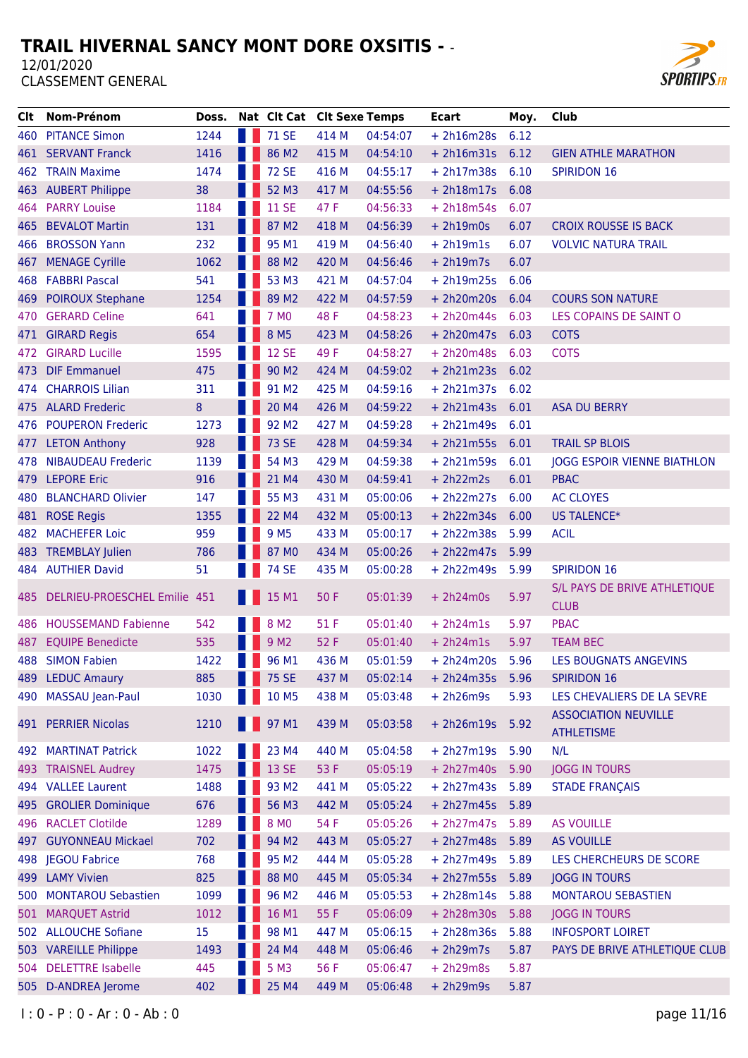

| CIt.  | Nom-Prénom                       | Doss. | Nat Clt Cat Clt Sexe Temps |       |          | <b>Ecart</b>      | Moy. | Club                               |
|-------|----------------------------------|-------|----------------------------|-------|----------|-------------------|------|------------------------------------|
|       | 460 PITANCE Simon                | 1244  | 71 SE                      | 414 M | 04:54:07 | $+ 2h16m28s$      | 6.12 |                                    |
| 461   | <b>SERVANT Franck</b>            | 1416  | 86 M2                      | 415 M | 04:54:10 | $+ 2h16m31s$      | 6.12 | <b>GIEN ATHLE MARATHON</b>         |
|       | 462 TRAIN Maxime                 | 1474  | <b>72 SE</b>               | 416 M | 04:55:17 | $+ 2h17m38s$      | 6.10 | <b>SPIRIDON 16</b>                 |
|       | 463 AUBERT Philippe              | 38    | 52 M3                      | 417 M | 04:55:56 | $+ 2h18m17s$      | 6.08 |                                    |
| 464   | <b>PARRY Louise</b>              | 1184  | <b>11 SE</b>               | 47 F  | 04:56:33 | $+ 2h18m54s$      | 6.07 |                                    |
| 465 - | <b>BEVALOT Martin</b>            | 131   | 87 M2                      | 418 M | 04:56:39 | $+ 2h19m0s$       | 6.07 | <b>CROIX ROUSSE IS BACK</b>        |
| 466   | <b>BROSSON Yann</b>              | 232   | 95 M1                      | 419 M | 04:56:40 | $+ 2h19m1s$       | 6.07 | <b>VOLVIC NATURA TRAIL</b>         |
| 467   | <b>MENAGE Cyrille</b>            | 1062  | 88 M2                      | 420 M | 04:56:46 | $+ 2h19m7s$       | 6.07 |                                    |
|       | 468 FABBRI Pascal                | 541   | 53 M3                      | 421 M | 04:57:04 | $+ 2h19m25s$      | 6.06 |                                    |
| 469   | <b>POIROUX Stephane</b>          | 1254  | 89 M <sub>2</sub>          | 422 M | 04:57:59 | + 2h20m20s 6.04   |      | <b>COURS SON NATURE</b>            |
| 470   | <b>GERARD Celine</b>             | 641   | 7 MO                       | 48 F  | 04:58:23 | $+ 2h20m44s$      | 6.03 | LES COPAINS DE SAINT O             |
| 471   | <b>GIRARD Regis</b>              | 654   | 8 M <sub>5</sub>           | 423 M | 04:58:26 | $+ 2h20m47s$      | 6.03 | <b>COTS</b>                        |
| 472   | <b>GIRARD Lucille</b>            | 1595  | <b>12 SE</b>               | 49 F  | 04:58:27 | $+ 2h20m48s$      | 6.03 | <b>COTS</b>                        |
| 473.  | <b>DIF Emmanuel</b>              | 475   | 90 M <sub>2</sub>          | 424 M | 04:59:02 | $+ 2h21m23s$      | 6.02 |                                    |
|       | 474 CHARROIS Lilian              | 311   | 91 M <sub>2</sub>          | 425 M | 04:59:16 | $+ 2h21m37s 6.02$ |      |                                    |
|       | 475 ALARD Frederic               | 8     | 20 M4                      | 426 M | 04:59:22 | $+ 2h21m43s 6.01$ |      | <b>ASA DU BERRY</b>                |
| 476   | <b>POUPERON Frederic</b>         | 1273  | 92 M <sub>2</sub>          | 427 M | 04:59:28 | $+ 2h21m49s$      | 6.01 |                                    |
| 477   | <b>LETON Anthony</b>             | 928   | <b>73 SE</b>               | 428 M | 04:59:34 | $+ 2h21m55s$      | 6.01 | <b>TRAIL SP BLOIS</b>              |
| 478   | <b>NIBAUDEAU Frederic</b>        | 1139  | 54 M3                      | 429 M | 04:59:38 | $+ 2h21m59s$      | 6.01 | <b>JOGG ESPOIR VIENNE BIATHLON</b> |
|       | 479 LEPORE Eric                  | 916   | 21 M4                      | 430 M | 04:59:41 | $+ 2h22m2s$       | 6.01 | <b>PBAC</b>                        |
| 480   | <b>BLANCHARD Olivier</b>         | 147   | 55 M3                      | 431 M | 05:00:06 | $+2h22m27s$       | 6.00 | <b>AC CLOYES</b>                   |
| 481   | <b>ROSE Regis</b>                | 1355  | 22 M4                      | 432 M | 05:00:13 | $+ 2h22m34s$      | 6.00 | US TALENCE*                        |
| 482   | <b>MACHEFER Loic</b>             | 959   | 9 M <sub>5</sub>           | 433 M | 05:00:17 | $+ 2h22m38s$      | 5.99 | <b>ACIL</b>                        |
|       | 483 TREMBLAY Julien              | 786   | 87 MO                      | 434 M | 05:00:26 | $+ 2h22m47s$      | 5.99 |                                    |
|       | 484 AUTHIER David                | 51    | <b>74 SE</b>               | 435 M | 05:00:28 | $+ 2h22m49s$      | 5.99 | <b>SPIRIDON 16</b>                 |
|       |                                  |       |                            |       |          |                   |      | S/L PAYS DE BRIVE ATHLETIQUE       |
|       | 485 DELRIEU-PROESCHEL Emilie 451 |       | 15 M1                      | 50 F  | 05:01:39 | $+ 2h24m0s$       | 5.97 | <b>CLUB</b>                        |
|       | 486 HOUSSEMAND Fabienne          | 542   | 8 M <sub>2</sub>           | 51 F  | 05:01:40 | $+ 2h24m1s$       | 5.97 | <b>PBAC</b>                        |
| 487 - | <b>EQUIPE Benedicte</b>          | 535   | 9 M <sub>2</sub>           | 52 F  | 05:01:40 | $+ 2h24m1s$       | 5.97 | <b>TEAM BEC</b>                    |
|       | 488 SIMON Fabien                 | 1422  | 96 M1                      | 436 M | 05:01:59 | $+ 2h24m20s$      | 5.96 | LES BOUGNATS ANGEVINS              |
|       | 489 LEDUC Amaury                 | 885   | <b>1</b> 75 SE             | 437 M | 05:02:14 | $+ 2h24m35s$      | 5.96 | <b>SPIRIDON 16</b>                 |
|       | 490 MASSAU Jean-Paul             | 1030  | 10 M5                      | 438 M | 05:03:48 | $+ 2h26m9s$       | 5.93 | LES CHEVALIERS DE LA SEVRE         |
|       |                                  |       |                            |       |          |                   |      | <b>ASSOCIATION NEUVILLE</b>        |
|       | 491 PERRIER Nicolas              | 1210  | <b>1</b> 97 M1             | 439 M | 05:03:58 | $+ 2h26m19s$      | 5.92 | <b>ATHLETISME</b>                  |
| 492   | <b>MARTINAT Patrick</b>          | 1022  | 23 M4                      | 440 M | 05:04:58 | + 2h27m19s 5.90   |      | N/L                                |
|       | 493 TRAISNEL Audrey              | 1475  | 13 SE                      | 53 F  | 05:05:19 | $+ 2h27m40s$      | 5.90 | <b>JOGG IN TOURS</b>               |
| 494   | <b>VALLEE Laurent</b>            | 1488  | 93 M <sub>2</sub>          | 441 M | 05:05:22 | $+ 2h27m43s$      | 5.89 | <b>STADE FRANÇAIS</b>              |
| 495   | <b>GROLIER Dominique</b>         | 676   | 56 M3                      | 442 M | 05:05:24 | $+ 2h27m45s$      | 5.89 |                                    |
| 496 - | <b>RACLET Clotilde</b>           | 1289  | 8 MO                       | 54 F  | 05:05:26 | $+ 2h27m47s$      | 5.89 | <b>AS VOUILLE</b>                  |
| 497   | <b>GUYONNEAU Mickael</b>         | 702   | 94 M2                      | 443 M | 05:05:27 | $+ 2h27m48s$      | 5.89 | AS VOUILLE                         |
|       | 498 JEGOU Fabrice                | 768   | 95 M <sub>2</sub>          | 444 M | 05:05:28 | $+ 2h27m49s$      | 5.89 | LES CHERCHEURS DE SCORE            |
| 499   | <b>LAMY Vivien</b>               | 825   | 88 MO                      | 445 M | 05:05:34 | $+ 2h27m55s$      | 5.89 | <b>JOGG IN TOURS</b>               |
|       | 500 MONTAROU Sebastien           | 1099  | 96 M <sub>2</sub>          | 446 M | 05:05:53 | $+ 2h28m14s$      | 5.88 | <b>MONTAROU SEBASTIEN</b>          |
| 501   | <b>MARQUET Astrid</b>            | 1012  | 16 M1                      | 55 F  | 05:06:09 | $+ 2h28m30s$      | 5.88 | <b>JOGG IN TOURS</b>               |
|       | 502 ALLOUCHE Sofiane             | 15    | 98 M1                      | 447 M | 05:06:15 | $+ 2h28m36s$      | 5.88 | <b>INFOSPORT LOIRET</b>            |
|       | 503 VAREILLE Philippe            | 1493  | 24 M4                      | 448 M | 05:06:46 | $+ 2h29m7s$       | 5.87 | PAYS DE BRIVE ATHLETIQUE CLUB      |
| 504   | <b>DELETTRE Isabelle</b>         | 445   | 5 M3                       | 56 F  | 05:06:47 | $+ 2h29m8s$       | 5.87 |                                    |
| 505   | D-ANDREA Jerome                  | 402   | 25 M4                      | 449 M | 05:06:48 | $+ 2h29m9s$       | 5.87 |                                    |
|       |                                  |       |                            |       |          |                   |      |                                    |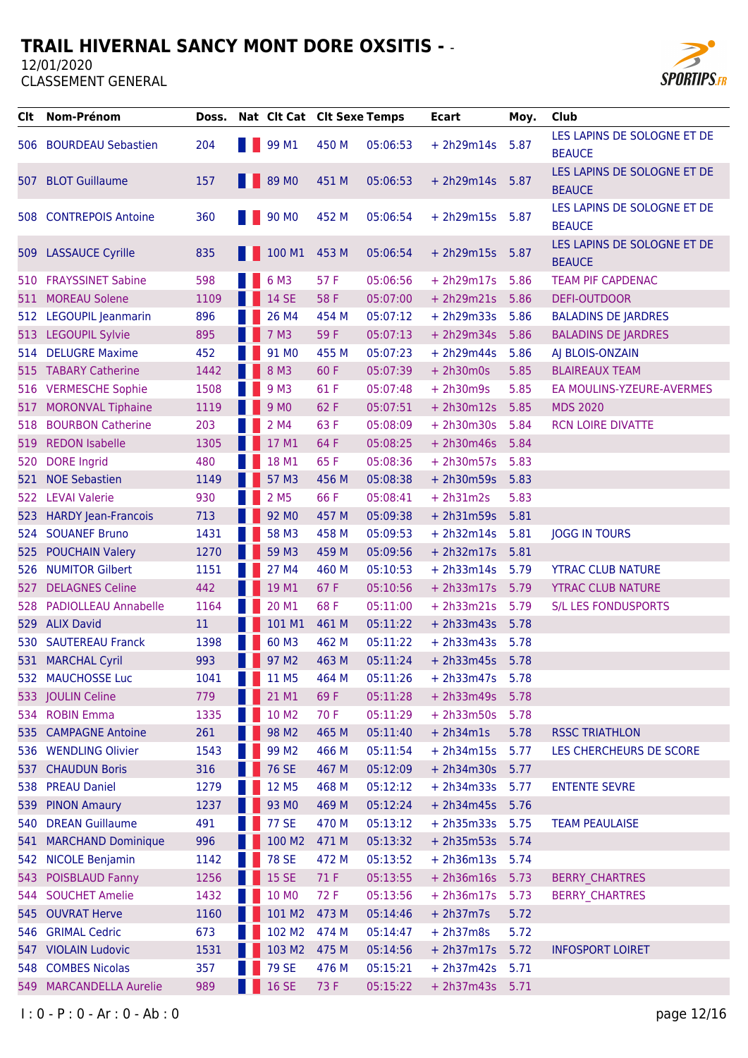

| CIt.  | <b>Nom-Prénom</b>                         | Doss.       | Nat Clt Cat Clt Sexe Temps |              |                      | <b>Ecart</b>                 | Moy.         | Club                                         |
|-------|-------------------------------------------|-------------|----------------------------|--------------|----------------------|------------------------------|--------------|----------------------------------------------|
| 506   | <b>BOURDEAU Sebastien</b>                 | 204         | 99 M1                      | 450 M        | 05:06:53             | $+ 2h29m14s$                 | 5.87         | LES LAPINS DE SOLOGNE ET DE<br><b>BEAUCE</b> |
|       | 507 BLOT Guillaume                        | 157         | <b>89 MO</b>               | 451 M        | 05:06:53             | $+ 2h29m14s$                 | 5.87         | LES LAPINS DE SOLOGNE ET DE<br><b>BEAUCE</b> |
|       | 508 CONTREPOIS Antoine                    | 360         | 90 MO                      | 452 M        | 05:06:54             | $+ 2h29m15s$                 | 5.87         | LES LAPINS DE SOLOGNE ET DE<br><b>BEAUCE</b> |
| 509   | <b>LASSAUCE Cyrille</b>                   | 835         | 100 M1                     | 453 M        | 05:06:54             | $+ 2h29m15s$                 | 5.87         | LES LAPINS DE SOLOGNE ET DE<br><b>BEAUCE</b> |
| 510   | <b>FRAYSSINET Sabine</b>                  | 598         | 6 M3                       | 57 F         | 05:06:56             | $+ 2h29m17s$                 | 5.86         | <b>TEAM PIF CAPDENAC</b>                     |
| 511   | <b>MOREAU Solene</b>                      | 1109        | 14 SE                      | 58 F         | 05:07:00             | $+ 2h29m21s$                 | 5.86         | DEFI-OUTDOOR                                 |
|       | 512 LEGOUPIL Jeanmarin                    | 896         | 26 M4                      | 454 M        | 05:07:12             | $+ 2h29m33s$                 | 5.86         | <b>BALADINS DE JARDRES</b>                   |
| 513   | <b>LEGOUPIL Sylvie</b>                    | 895         | 7 M3                       | 59F          | 05:07:13             | $+ 2h29m34s$                 | 5.86         | <b>BALADINS DE JARDRES</b>                   |
| 514   | <b>DELUGRE Maxime</b>                     | 452         | 91 MO                      | 455 M        | 05:07:23             | $+ 2h29m44s$                 | 5.86         | AJ BLOIS-ONZAIN                              |
|       | 515 TABARY Catherine                      | 1442        | 8 M3                       | 60 F         | 05:07:39             | $+ 2h30m0s$                  | 5.85         | <b>BLAIREAUX TEAM</b>                        |
|       | 516 VERMESCHE Sophie                      | 1508        | 9 M3                       | 61 F         | 05:07:48             | $+ 2h30m9s$                  | 5.85         | EA MOULINS-YZEURE-AVERMES                    |
| 517   | <b>MORONVAL Tiphaine</b>                  | 1119        | 9 M <sub>0</sub>           | 62 F         | 05:07:51             | $+ 2h30m12s$                 | 5.85         | <b>MDS 2020</b>                              |
| 518   | <b>BOURBON Catherine</b>                  | 203         | 2 M4                       | 63 F         | 05:08:09             | $+ 2h30m30s$                 | 5.84         | <b>RCN LOIRE DIVATTE</b>                     |
| 519   | <b>REDON Isabelle</b>                     | 1305        | 17 M1                      | 64 F         | 05:08:25             | $+ 2h30m46s$                 | 5.84         |                                              |
| 520   | <b>DORE</b> Ingrid                        | 480         | 18 M1                      | 65 F         | 05:08:36             | $+ 2h30m57s$                 | 5.83         |                                              |
| 521   | <b>NOE Sebastien</b>                      | 1149        | 57 M3                      | 456 M        | 05:08:38             | $+2h30m59s$                  | 5.83         |                                              |
| 522   | <b>LEVAI Valerie</b>                      | 930         | 2 M <sub>5</sub>           | 66 F         | 05:08:41             | $+ 2h31m2s$                  | 5.83         |                                              |
| 523   | <b>HARDY Jean-Francois</b>                | 713         | 92 MO                      | 457 M        | 05:09:38             | $+ 2h31m59s$                 | 5.81         |                                              |
| 524   | <b>SOUANEF Bruno</b>                      | 1431        | 58 M3                      | 458 M        | 05:09:53             | $+ 2h32m14s$                 | 5.81         | <b>JOGG IN TOURS</b>                         |
| 525.  | <b>POUCHAIN Valery</b>                    | 1270        | 59 M3                      | 459 M        | 05:09:56             | $+ 2h32m17s$                 | 5.81         |                                              |
|       | 526 NUMITOR Gilbert                       | 1151        | 27 M4                      | 460 M        | 05:10:53             | $+ 2h33m14s$                 | 5.79         | <b>YTRAC CLUB NATURE</b>                     |
| 527   | <b>DELAGNES Celine</b>                    | 442         | 19 M1                      | 67 F         | 05:10:56             | $+ 2h33m17s$                 | 5.79         | <b>YTRAC CLUB NATURE</b>                     |
| 528   | <b>PADIOLLEAU Annabelle</b>               | 1164        | 20 M1                      | 68 F         | 05:11:00             | $+ 2h33m21s$                 | 5.79         | <b>S/L LES FONDUSPORTS</b>                   |
| 529   | <b>ALIX David</b>                         | 11          | 101 M1                     | 461 M        | 05:11:22             | $+ 2h33m43s$                 | 5.78         |                                              |
| 530   | <b>SAUTEREAU Franck</b>                   | 1398        | 60 M3                      | 462 M        | 05:11:22             | $+ 2h33m43s$                 | 5.78         |                                              |
|       | 531 MARCHAL Cyril                         | 993         | 97 M2                      | 463 M        | 05:11:24             | $+ 2h33m45s$                 | 5.78         |                                              |
| 532   | <b>MAUCHOSSE Luc</b><br>533 JOULIN Celine | 1041<br>779 | 11 M5<br>21 M1             | 464 M<br>69F | 05:11:26<br>05:11:28 | $+ 2h33m47s$                 | 5.78         |                                              |
|       | 534 ROBIN Emma                            | 1335        | 10 M2                      | 70 F         | 05:11:29             | $+ 2h33m49s$<br>$+ 2h33m50s$ | 5.78<br>5.78 |                                              |
|       | 535 CAMPAGNE Antoine                      | 261         | 98 M <sub>2</sub>          | 465 M        | 05:11:40             | $+ 2h34m1s$                  | 5.78         | <b>RSSC TRIATHLON</b>                        |
|       | 536 WENDLING Olivier                      | 1543        | 99 M <sub>2</sub>          | 466 M        | 05:11:54             | $+ 2h34m15s$                 | 5.77         | LES CHERCHEURS DE SCORE                      |
| 537   | <b>CHAUDUN Boris</b>                      | 316         | <b>76 SE</b>               | 467 M        | 05:12:09             | $+ 2h34m30s$                 | 5.77         |                                              |
| 538   | <b>PREAU Daniel</b>                       | 1279        | 12 M5                      | 468 M        | 05:12:12             | $+ 2h34m33s$                 | 5.77         | <b>ENTENTE SEVRE</b>                         |
| 539   | <b>PINON Amaury</b>                       | 1237        | 93 MO                      | 469 M        | 05:12:24             | $+ 2h34m45s$                 | 5.76         |                                              |
| 540   | <b>DREAN Guillaume</b>                    | 491         | <b>77 SE</b>               | 470 M        | 05:13:12             | $+ 2h35m33s$                 | 5.75         | <b>TEAM PEAULAISE</b>                        |
| 541   | <b>MARCHAND Dominique</b>                 | 996         | 100 M2                     | 471 M        | 05:13:32             | $+ 2h35m53s$                 | 5.74         |                                              |
| 542   | <b>NICOLE Benjamin</b>                    | 1142        | <b>78 SE</b>               | 472 M        | 05:13:52             | $+ 2h36m13s$                 | 5.74         |                                              |
| 543   | <b>POISBLAUD Fanny</b>                    | 1256        | <b>15 SE</b>               | 71 F         | 05:13:55             | $+ 2h36m16s$                 | 5.73         | <b>BERRY CHARTRES</b>                        |
| 544 - | <b>SOUCHET Amelie</b>                     | 1432        | 10 MO                      | 72 F         | 05:13:56             | $+ 2h36m17s$                 | 5.73         | <b>BERRY CHARTRES</b>                        |
| 545 - | <b>OUVRAT Herve</b>                       | 1160        | 101 M2                     | 473 M        | 05:14:46             | $+ 2h37m7s$                  | 5.72         |                                              |
| 546   | <b>GRIMAL Cedric</b>                      | 673         | 102 M2                     | 474 M        | 05:14:47             | $+ 2h37m8s$                  | 5.72         |                                              |
| 547 - | <b>VIOLAIN Ludovic</b>                    | 1531        | 103 M2                     | 475 M        | 05:14:56             | $+ 2h37m17s$                 | 5.72         | <b>INFOSPORT LOIRET</b>                      |
|       | 548 COMBES Nicolas                        | 357         | <b>79 SE</b>               | 476 M        | 05:15:21             | $+ 2h37m42s$                 | 5.71         |                                              |
| 549 - | <b>MARCANDELLA Aurelie</b>                | 989         | <b>16 SE</b>               | 73 F         | 05:15:22             | $+ 2h37m43s$                 | 5.71         |                                              |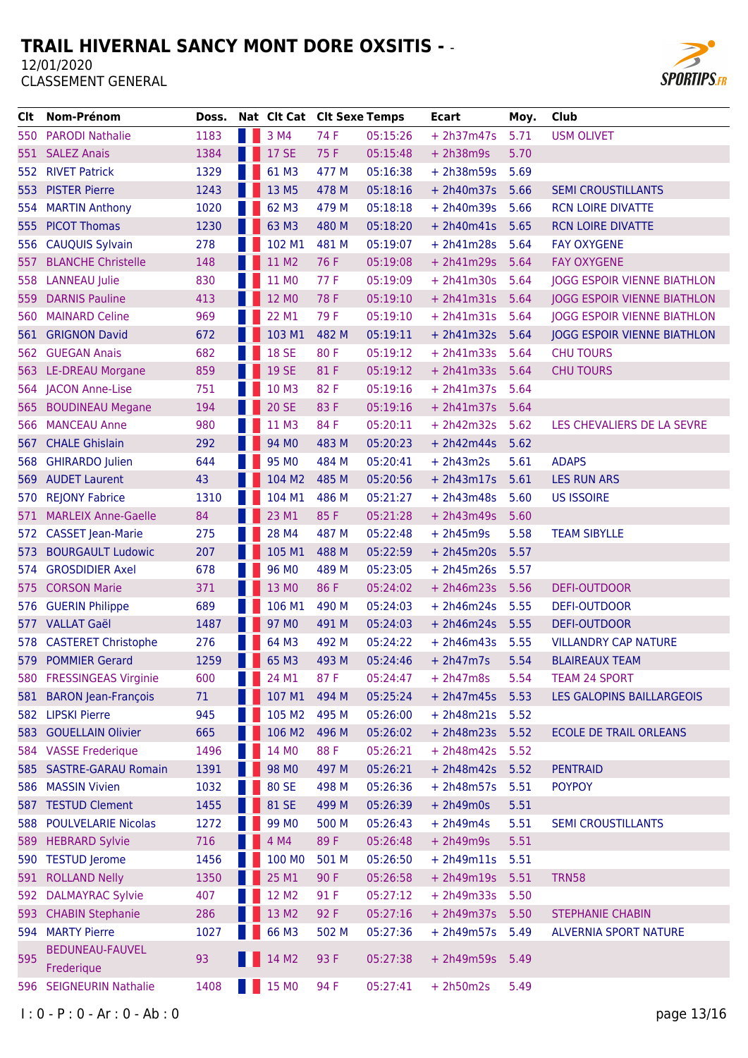

| CIt. | Nom-Prénom                 | Doss. | Nat Clt Cat Clt Sexe Temps |       |          | <b>Ecart</b> | Moy. | Club                               |
|------|----------------------------|-------|----------------------------|-------|----------|--------------|------|------------------------------------|
|      | 550 PARODI Nathalie        | 1183  | 3 M4                       | 74 F  | 05:15:26 | $+ 2h37m47s$ | 5.71 | <b>USM OLIVET</b>                  |
| 551  | <b>SALEZ Anais</b>         | 1384  | <b>17 SE</b>               | 75 F  | 05:15:48 | $+ 2h38m9s$  | 5.70 |                                    |
| 552  | <b>RIVET Patrick</b>       | 1329  | 61 M3                      | 477 M | 05:16:38 | $+ 2h38m59s$ | 5.69 |                                    |
| 553  | <b>PISTER Pierre</b>       | 1243  | 13 M5                      | 478 M | 05:18:16 | $+ 2h40m37s$ | 5.66 | <b>SEMI CROUSTILLANTS</b>          |
| 554  | <b>MARTIN Anthony</b>      | 1020  | 62 M3                      | 479 M | 05:18:18 | $+ 2h40m39s$ | 5.66 | <b>RCN LOIRE DIVATTE</b>           |
| 555  | <b>PICOT Thomas</b>        | 1230  | 63 M3                      | 480 M | 05:18:20 | $+ 2h40m41s$ | 5.65 | <b>RCN LOIRE DIVATTE</b>           |
| 556  | <b>CAUQUIS Sylvain</b>     | 278   | 102 M1                     | 481 M | 05:19:07 | $+ 2h41m28s$ | 5.64 | <b>FAY OXYGENE</b>                 |
| 557  | <b>BLANCHE Christelle</b>  | 148   | 11 M2                      | 76 F  | 05:19:08 | $+ 2h41m29s$ | 5.64 | <b>FAY OXYGENE</b>                 |
| 558  | <b>LANNEAU</b> Julie       | 830   | 11 MO                      | 77 F  | 05:19:09 | $+ 2h41m30s$ | 5.64 | <b>JOGG ESPOIR VIENNE BIATHLON</b> |
| 559  | <b>DARNIS Pauline</b>      | 413   | 12 MO                      | 78 F  | 05:19:10 | $+ 2h41m31s$ | 5.64 | <b>JOGG ESPOIR VIENNE BIATHLON</b> |
| 560  | <b>MAINARD Celine</b>      | 969   | 22 M1                      | 79 F  | 05:19:10 | $+ 2h41m31s$ | 5.64 | <b>JOGG ESPOIR VIENNE BIATHLON</b> |
| 561  | <b>GRIGNON David</b>       | 672   | 103 M1                     | 482 M | 05:19:11 | $+ 2h41m32s$ | 5.64 | <b>JOGG ESPOIR VIENNE BIATHLON</b> |
| 562  | <b>GUEGAN Anais</b>        | 682   | <b>18 SE</b>               | 80 F  | 05:19:12 | $+ 2h41m33s$ | 5.64 | <b>CHU TOURS</b>                   |
|      | 563 LE-DREAU Morgane       | 859   | <b>19 SE</b>               | 81 F  | 05:19:12 | $+ 2h41m33s$ | 5.64 | <b>CHU TOURS</b>                   |
|      | 564 JACON Anne-Lise        | 751   | 10 M3                      | 82F   | 05:19:16 | $+ 2h41m37s$ | 5.64 |                                    |
| 565. | <b>BOUDINEAU Megane</b>    | 194   | <b>20 SE</b>               | 83 F  | 05:19:16 | $+ 2h41m37s$ | 5.64 |                                    |
| 566  | <b>MANCEAU Anne</b>        | 980   | 11 M3                      | 84 F  | 05:20:11 | $+ 2h42m32s$ | 5.62 | LES CHEVALIERS DE LA SEVRE         |
| 567  | <b>CHALE Ghislain</b>      | 292   | 94 MO                      | 483 M | 05:20:23 | $+ 2h42m44s$ | 5.62 |                                    |
| 568  | <b>GHIRARDO Julien</b>     | 644   | 95 MO                      | 484 M | 05:20:41 | $+ 2h43m2s$  | 5.61 | <b>ADAPS</b>                       |
| 569  | <b>AUDET Laurent</b>       | 43    | 104 M2                     | 485 M | 05:20:56 | $+ 2h43m17s$ | 5.61 | <b>LES RUN ARS</b>                 |
| 570  | <b>REJONY Fabrice</b>      | 1310  | 104 M1                     | 486 M | 05:21:27 | $+ 2h43m48s$ | 5.60 | <b>US ISSOIRE</b>                  |
| 571  | <b>MARLEIX Anne-Gaelle</b> | 84    | 23 M1                      | 85 F  | 05:21:28 | $+ 2h43m49s$ | 5.60 |                                    |
| 572  | <b>CASSET Jean-Marie</b>   | 275   | 28 M4                      | 487 M | 05:22:48 | $+ 2h45m9s$  | 5.58 | <b>TEAM SIBYLLE</b>                |
| 573  | <b>BOURGAULT Ludowic</b>   | 207   | 105 M1                     | 488 M | 05:22:59 | $+ 2h45m20s$ | 5.57 |                                    |
| 574  | <b>GROSDIDIER Axel</b>     | 678   | 96 MO                      | 489 M | 05:23:05 | $+ 2h45m26s$ | 5.57 |                                    |
| 575  | <b>CORSON Marie</b>        | 371   | 13 MO                      | 86 F  | 05:24:02 | $+ 2h46m23s$ | 5.56 | DEFI-OUTDOOR                       |
| 576  | <b>GUERIN Philippe</b>     | 689   | 106 M1                     | 490 M | 05:24:03 | $+ 2h46m24s$ | 5.55 | <b>DEFI-OUTDOOR</b>                |
| 577  | <b>VALLAT Gaël</b>         | 1487  | 97 MO                      | 491 M | 05:24:03 | $+ 2h46m24s$ | 5.55 | DEFI-OUTDOOR                       |
| 578  | <b>CASTERET Christophe</b> | 276   | 64 M3                      | 492 M | 05:24:22 | $+ 2h46m43s$ | 5.55 | <b>VILLANDRY CAP NATURE</b>        |
|      | 579 POMMIER Gerard         | 1259  | 65 M3                      | 493 M | 05:24:46 | $+ 2h47m7s$  | 5.54 | <b>BLAIREAUX TEAM</b>              |
|      | 580 FRESSINGEAS Virginie   | 600   | 24 M1                      | 87F   | 05:24:47 | $+ 2h47m8s$  | 5.54 | <b>TEAM 24 SPORT</b>               |
|      | 581 BARON Jean-François    | 71    | 107 M1                     | 494 M | 05:25:24 | $+ 2h47m45s$ | 5.53 | <b>LES GALOPINS BAILLARGEOIS</b>   |
|      | 582 LIPSKI Pierre          | 945   | 105 M2                     | 495 M | 05:26:00 | $+ 2h48m21s$ | 5.52 |                                    |
|      | 583 GOUELLAIN Olivier      | 665   | 106 M2                     | 496 M | 05:26:02 | $+ 2h48m23s$ | 5.52 | <b>ECOLE DE TRAIL ORLEANS</b>      |
|      | 584 VASSE Frederique       | 1496  | 14 MO                      | 88 F  | 05:26:21 | $+ 2h48m42s$ | 5.52 |                                    |
| 585  | <b>SASTRE-GARAU Romain</b> | 1391  | 98 MO                      | 497 M | 05:26:21 | $+ 2h48m42s$ | 5.52 | <b>PENTRAID</b>                    |
| 586  | <b>MASSIN Vivien</b>       | 1032  | 80 SE                      | 498 M | 05:26:36 | $+ 2h48m57s$ | 5.51 | <b>POYPOY</b>                      |
|      | 587 TESTUD Clement         | 1455  | 81 SE                      | 499 M | 05:26:39 | $+ 2h49m0s$  | 5.51 |                                    |
|      | 588 POULVELARIE Nicolas    | 1272  | 99 M <sub>0</sub>          | 500 M | 05:26:43 | $+ 2h49m4s$  | 5.51 | <b>SEMI CROUSTILLANTS</b>          |
| 589  | <b>HEBRARD Sylvie</b>      | 716   | 4 M4                       | 89F   | 05:26:48 | $+ 2h49m9s$  | 5.51 |                                    |
| 590  | <b>TESTUD Jerome</b>       | 1456  | 100 MO                     | 501 M | 05:26:50 | $+ 2h49m11s$ | 5.51 |                                    |
| 591  | <b>ROLLAND Nelly</b>       | 1350  | 25 M1                      | 90 F  | 05:26:58 | $+ 2h49m19s$ | 5.51 | <b>TRN58</b>                       |
| 592  | <b>DALMAYRAC Sylvie</b>    | 407   | 12 M2                      | 91 F  | 05:27:12 | $+ 2h49m33s$ | 5.50 |                                    |
| 593  | <b>CHABIN Stephanie</b>    | 286   | 13 M2                      | 92 F  | 05:27:16 | $+ 2h49m37s$ | 5.50 | <b>STEPHANIE CHABIN</b>            |
| 594  | <b>MARTY Pierre</b>        | 1027  | 66 M3                      | 502 M | 05:27:36 | $+ 2h49m57s$ | 5.49 | <b>ALVERNIA SPORT NATURE</b>       |
|      | <b>BEDUNEAU-FAUVEL</b>     |       |                            |       |          |              |      |                                    |
| 595  | Frederique                 | 93    | 14 M2                      | 93 F  | 05:27:38 | $+ 2h49m59s$ | 5.49 |                                    |
|      | 596 SEIGNEURIN Nathalie    | 1408  | <b>15 MO</b>               | 94 F  | 05:27:41 | $+ 2h50m2s$  | 5.49 |                                    |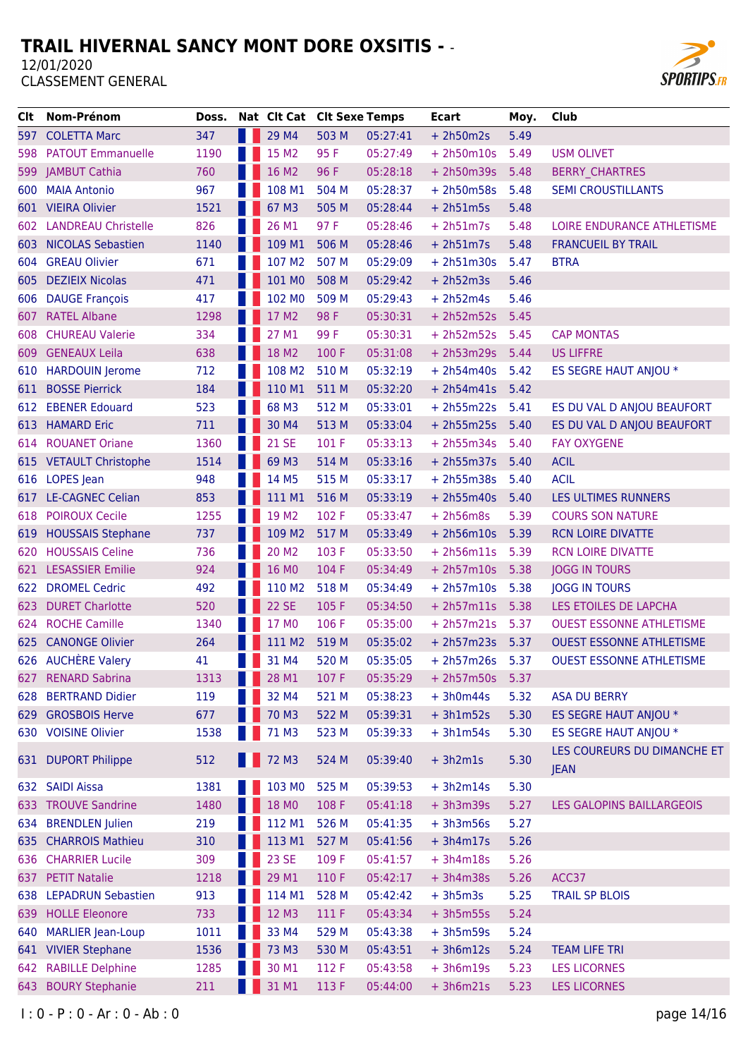

| CIt.  | Nom-Prénom                 | Doss. | Nat Clt Cat Clt Sexe Temps |       |          | <b>Ecart</b>    | Moy. | Club                            |
|-------|----------------------------|-------|----------------------------|-------|----------|-----------------|------|---------------------------------|
| 597 - | <b>COLETTA Marc</b>        | 347   | 29 M4                      | 503 M | 05:27:41 | $+ 2h50m2s$     | 5.49 |                                 |
| 598   | <b>PATOUT Emmanuelle</b>   | 1190  | 15 M2                      | 95 F  | 05:27:49 | $+ 2h50m10s$    | 5.49 | <b>USM OLIVET</b>               |
| 599   | <b>JAMBUT Cathia</b>       | 760   | 16 M2                      | 96 F  | 05:28:18 | $+ 2h50m39s$    | 5.48 | <b>BERRY CHARTRES</b>           |
| 600   | <b>MAIA Antonio</b>        | 967   | 108 M1                     | 504 M | 05:28:37 | $+ 2h50m58s$    | 5.48 | <b>SEMI CROUSTILLANTS</b>       |
|       | 601 VIEIRA Olivier         | 1521  | 67 M3                      | 505 M | 05:28:44 | $+ 2h51m5s$     | 5.48 |                                 |
| 602   | <b>LANDREAU Christelle</b> | 826   | 26 M1                      | 97 F  | 05:28:46 | $+ 2h51m7s$     | 5.48 | LOIRE ENDURANCE ATHLETISME      |
| 603   | <b>NICOLAS Sebastien</b>   | 1140  | 109 M1                     | 506 M | 05:28:46 | $+ 2h51m7s$     | 5.48 | <b>FRANCUEIL BY TRAIL</b>       |
| 604   | <b>GREAU Olivier</b>       | 671   | 107 M2                     | 507 M | 05:29:09 | $+ 2h51m30s$    | 5.47 | <b>BTRA</b>                     |
| 605   | <b>DEZIEIX Nicolas</b>     | 471   | 101 MO                     | 508 M | 05:29:42 | $+ 2h52m3s$     | 5.46 |                                 |
| 606   | <b>DAUGE François</b>      | 417   | 102 MO                     | 509 M | 05:29:43 | $+ 2h52m4s$     | 5.46 |                                 |
| 607.  | <b>RATEL Albane</b>        | 1298  | 17 M2                      | 98 F  | 05:30:31 | $+ 2h52m52s$    | 5.45 |                                 |
| 608   | <b>CHUREAU Valerie</b>     | 334   | 27 M1                      | 99 F  | 05:30:31 | $+ 2h52m52s$    | 5.45 | <b>CAP MONTAS</b>               |
| 609   | <b>GENEAUX Leila</b>       | 638   | 18 M2                      | 100 F | 05:31:08 | $+ 2h53m29s$    | 5.44 | <b>US LIFFRE</b>                |
| 610   | <b>HARDOUIN Jerome</b>     | 712   | 108 M2                     | 510 M | 05:32:19 | $+ 2h54m40s$    | 5.42 | ES SEGRE HAUT ANJOU *           |
| 611   | <b>BOSSE Pierrick</b>      | 184   | 110 M1                     | 511 M | 05:32:20 | $+ 2h54m41s$    | 5.42 |                                 |
|       | 612 EBENER Edouard         | 523   | 68 M3                      | 512 M | 05:33:01 | $+ 2h55m22s$    | 5.41 | ES DU VAL D ANJOU BEAUFORT      |
| 613   | <b>HAMARD Eric</b>         | 711   | 30 M4                      | 513 M | 05:33:04 | + 2h55m25s 5.40 |      | ES DU VAL D ANJOU BEAUFORT      |
| 614   | <b>ROUANET Oriane</b>      | 1360  | <b>21 SE</b>               | 101 F | 05:33:13 | $+ 2h55m34s$    | 5.40 | <b>FAY OXYGENE</b>              |
|       | 615 VETAULT Christophe     | 1514  | 69 M3                      | 514 M | 05:33:16 | $+ 2h55m37s$    | 5.40 | <b>ACIL</b>                     |
|       | 616 LOPES Jean             | 948   | 14 M5                      | 515 M | 05:33:17 | $+ 2h55m38s$    | 5.40 | <b>ACIL</b>                     |
| 617   | <b>LE-CAGNEC Celian</b>    | 853   | 111 M1                     | 516 M | 05:33:19 | $+ 2h55m40s$    | 5.40 | LES ULTIMES RUNNERS             |
| 618   | <b>POIROUX Cecile</b>      | 1255  | 19 M2                      | 102 F | 05:33:47 | $+ 2h56m8s$     | 5.39 | <b>COURS SON NATURE</b>         |
| 619   | <b>HOUSSAIS Stephane</b>   | 737   | 109 M2                     | 517 M | 05:33:49 | $+ 2h56m10s$    | 5.39 | <b>RCN LOIRE DIVATTE</b>        |
| 620   | <b>HOUSSAIS Celine</b>     | 736   | 20 M <sub>2</sub>          | 103 F | 05:33:50 | $+ 2h56m11s$    | 5.39 | <b>RCN LOIRE DIVATTE</b>        |
| 621.  | <b>LESASSIER Emilie</b>    | 924   | 16 MO                      | 104 F | 05:34:49 | $+ 2h57m10s$    | 5.38 | <b>JOGG IN TOURS</b>            |
| 622   | <b>DROMEL Cedric</b>       | 492   | 110 M2                     | 518 M | 05:34:49 | $+ 2h57m10s$    | 5.38 | <b>JOGG IN TOURS</b>            |
| 623   | <b>DURET Charlotte</b>     | 520   | <b>22 SE</b>               | 105 F | 05:34:50 | +2h57m11s 5.38  |      | LES ETOILES DE LAPCHA           |
| 624   | <b>ROCHE Camille</b>       | 1340  | 17 MO                      | 106 F | 05:35:00 | $+ 2h57m21s$    | 5.37 | <b>OUEST ESSONNE ATHLETISME</b> |
| 625   | <b>CANONGE Olivier</b>     | 264   | 111 M2                     | 519 M | 05:35:02 | $+ 2h57m23s$    | 5.37 | <b>OUEST ESSONNE ATHLETISME</b> |
|       | 626 AUCHÈRE Valery         | 41    | 31 M4                      | 520 M | 05:35:05 | + 2h57m26s 5.37 |      | <b>OUEST ESSONNE ATHLETISME</b> |
| 627   | <b>RENARD Sabrina</b>      | 1313  | 28 M1                      | 107 F | 05:35:29 | $+ 2h57m50s$    | 5.37 |                                 |
|       | 628 BERTRAND Didier        | 119   | 32 M4                      | 521 M | 05:38:23 | $+3h0m44s$      | 5.32 | <b>ASA DU BERRY</b>             |
| 629   | <b>GROSBOIS Herve</b>      | 677   | 70 M3                      | 522 M | 05:39:31 | $+3h1m52s$      | 5.30 | ES SEGRE HAUT ANJOU *           |
| 630   | <b>VOISINE Olivier</b>     | 1538  | 71 M3                      | 523 M | 05:39:33 | $+3h1m54s$      | 5.30 | ES SEGRE HAUT ANJOU *           |
|       |                            |       |                            |       |          |                 |      | LES COUREURS DU DIMANCHE ET     |
|       | 631 DUPORT Philippe        | 512   | <b>1</b> 72 M3             | 524 M | 05:39:40 | $+3h2m1s$       | 5.30 | <b>JEAN</b>                     |
|       | 632 SAIDI Aissa            | 1381  | 103 MO                     | 525 M | 05:39:53 | $+3h2m14s$      | 5.30 |                                 |
|       | 633 TROUVE Sandrine        | 1480  | 18 MO                      | 108 F | 05:41:18 | $+3h3m39s$      | 5.27 | LES GALOPINS BAILLARGEOIS       |
| 634   | <b>BRENDLEN</b> Julien     | 219   | 112 M1                     | 526 M | 05:41:35 | $+3h3m56s$      | 5.27 |                                 |
| 635   | <b>CHARROIS Mathieu</b>    | 310   | 113 M1                     | 527 M | 05:41:56 | $+3h4m17s$      | 5.26 |                                 |
|       | 636 CHARRIER Lucile        | 309   | <b>23 SE</b>               | 109 F | 05:41:57 | $+3h4m18s$      | 5.26 |                                 |
| 637   | <b>PETIT Natalie</b>       | 1218  | 29 M1                      | 110 F | 05:42:17 | $+3h4m38s$      | 5.26 | ACC37                           |
|       | 638 LEPADRUN Sebastien     | 913   | 114 M1                     | 528 M | 05:42:42 | $+3h5m3s$       | 5.25 | <b>TRAIL SP BLOIS</b>           |
| 639   | <b>HOLLE Eleonore</b>      | 733   | 12 M3                      | 111 F | 05:43:34 | $+3h5m55s$      | 5.24 |                                 |
| 640   | <b>MARLIER Jean-Loup</b>   | 1011  | 33 M4                      | 529 M | 05:43:38 | $+3h5m59s$      | 5.24 |                                 |
|       | 641 VIVIER Stephane        | 1536  | 73 M3                      | 530 M | 05:43:51 | $+3h6m12s$      | 5.24 | <b>TEAM LIFE TRI</b>            |
|       | 642 RABILLE Delphine       | 1285  | 30 M1                      | 112 F | 05:43:58 | $+3h6m19s$      | 5.23 | <b>LES LICORNES</b>             |
| 643   | <b>BOURY Stephanie</b>     | 211   | 31 M1                      | 113 F | 05:44:00 | $+3h6m21s$      | 5.23 | <b>LES LICORNES</b>             |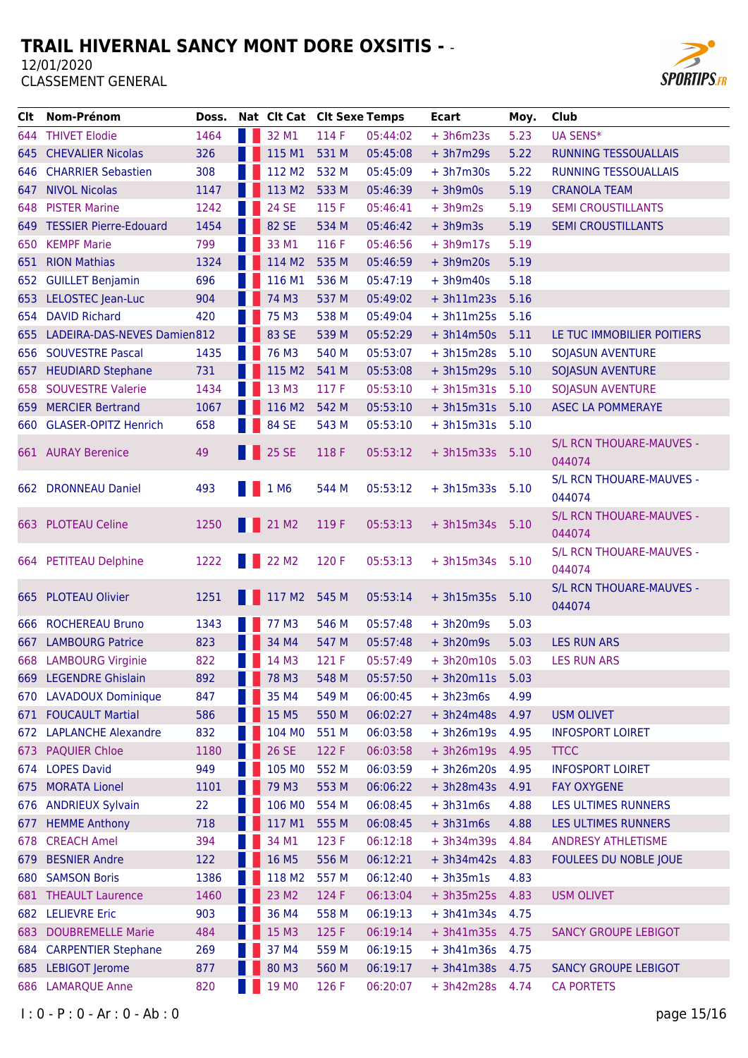

| Clt.  | Nom-Prénom                      | Doss. | Nat Clt Cat Clt Sexe Temps                        |       |          | <b>Ecart</b>    | Moy. | <b>Club</b>                     |
|-------|---------------------------------|-------|---------------------------------------------------|-------|----------|-----------------|------|---------------------------------|
|       | 644 THIVET Elodie               | 1464  | 32 M1                                             | 114 F | 05:44:02 | $+3h6m23s$      | 5.23 | <b>UA SENS*</b>                 |
|       | 645 CHEVALIER Nicolas           | 326   | 115 M1                                            | 531 M | 05:45:08 | $+3h7m29s$      | 5.22 | RUNNING TESSOUALLAIS            |
|       | 646 CHARRIER Sebastien          | 308   | 112 M2                                            | 532 M | 05:45:09 | $+3h7m30s$      | 5.22 | <b>RUNNING TESSOUALLAIS</b>     |
| 647 - | <b>NIVOL Nicolas</b>            | 1147  | 113 M2                                            | 533 M | 05:46:39 | $+3h9m0s$       | 5.19 | <b>CRANOLA TEAM</b>             |
|       | 648 PISTER Marine               | 1242  | <b>24 SE</b>                                      | 115 F | 05:46:41 | $+3h9m2s$       | 5.19 | <b>SEMI CROUSTILLANTS</b>       |
|       | 649 TESSIER Pierre-Edouard      | 1454  | 82 SE                                             | 534 M | 05:46:42 | $+3h9m3s$       | 5.19 | <b>SEMI CROUSTILLANTS</b>       |
| 650   | <b>KEMPF Marie</b>              | 799   | 33 M1                                             | 116 F | 05:46:56 | $+3h9m17s$      | 5.19 |                                 |
|       | 651 RION Mathias                | 1324  | 114 M2                                            | 535 M | 05:46:59 | $+3h9m20s$      | 5.19 |                                 |
| 652   | <b>GUILLET Benjamin</b>         | 696   | 116 M1                                            | 536 M | 05:47:19 | $+3h9m40s$      | 5.18 |                                 |
|       | 653 LELOSTEC Jean-Luc           | 904   | 74 M3                                             | 537 M | 05:49:02 | $+3h11m23s$     | 5.16 |                                 |
|       | 654 DAVID Richard               | 420   | 75 M3                                             | 538 M | 05:49:04 | $+ 3h11m25s$    | 5.16 |                                 |
|       | 655 LADEIRA-DAS-NEVES Damien812 |       | 83 SE                                             | 539 M | 05:52:29 | $+3h14m50s$     | 5.11 | LE TUC IMMOBILIER POITIERS      |
|       | 656 SOUVESTRE Pascal            | 1435  | 76 M3                                             | 540 M | 05:53:07 | $+3h15m28s$     | 5.10 | <b>SOJASUN AVENTURE</b>         |
|       | 657 HEUDIARD Stephane           | 731   | 115 M2                                            | 541 M | 05:53:08 | $+3h15m29s$     | 5.10 | <b>SOJASUN AVENTURE</b>         |
|       | 658 SOUVESTRE Valerie           | 1434  | 13 M3                                             | 117 F | 05:53:10 | $+3h15m31s$     | 5.10 | <b>SOJASUN AVENTURE</b>         |
|       | 659 MERCIER Bertrand            | 1067  | 116 M2                                            | 542 M | 05:53:10 | $+3h15m31s$     | 5.10 | <b>ASEC LA POMMERAYE</b>        |
|       | 660 GLASER-OPITZ Henrich        | 658   | 84 SE                                             | 543 M | 05:53:10 | $+3h15m31s$     | 5.10 |                                 |
|       |                                 |       |                                                   |       |          |                 |      | <b>S/L RCN THOUARE-MAUVES -</b> |
|       | 661 AURAY Berenice              | 49    | <b>1</b> 25 SE                                    | 118 F | 05:53:12 | + 3h15m33s 5.10 |      | 044074                          |
|       |                                 |       |                                                   |       |          |                 |      | S/L RCN THOUARE-MAUVES -        |
|       | 662 DRONNEAU Daniel             | 493   | 1 M <sub>6</sub>                                  | 544 M | 05:53:12 | $+3h15m33s$     | 5.10 | 044074                          |
|       |                                 |       |                                                   |       |          |                 |      | S/L RCN THOUARE-MAUVES -        |
|       | 663 PLOTEAU Celine              | 1250  | $\begin{array}{ c c }\n\hline\n\end{array}$ 21 M2 | 119 F | 05:53:13 | + 3h15m34s 5.10 |      | 044074                          |
|       |                                 |       |                                                   |       |          |                 |      | S/L RCN THOUARE-MAUVES -        |
|       | 664 PETITEAU Delphine           | 1222  | 22 M <sub>2</sub>                                 | 120 F | 05:53:13 | $+3h15m34s$     | 5.10 | 044074                          |
|       |                                 |       |                                                   |       |          |                 |      | S/L RCN THOUARE-MAUVES -        |
|       | 665 PLOTEAU Olivier             | 1251  | 117 M2                                            | 545 M | 05:53:14 | $+3h15m35s$     | 5.10 | 044074                          |
|       | 666 ROCHEREAU Bruno             | 1343  | 77 M3                                             | 546 M | 05:57:48 | $+3h20m9s$      | 5.03 |                                 |
|       | 667 LAMBOURG Patrice            | 823   | 34 M4                                             | 547 M | 05:57:48 | $+3h20m9s$      | 5.03 | <b>LES RUN ARS</b>              |
|       | 668 LAMBOURG Virginie           | 822   | 14 M3                                             | 121 F | 05:57:49 | $+3h20m10s$     | 5.03 | <b>LES RUN ARS</b>              |
| 669   | <b>LEGENDRE Ghislain</b>        | 892   | 78 M3                                             | 548 M | 05:57:50 | $+3h20m11s$     | 5.03 |                                 |
|       | 670 LAVADOUX Dominique          | 847   | 35 M4                                             | 549 M | 06:00:45 | $+3h23m6s$      | 4.99 |                                 |
|       | 671 FOUCAULT Martial            | 586   | 15 M5                                             | 550 M | 06:02:27 | $+3h24m48s$     | 4.97 | <b>USM OLIVET</b>               |
| 672   | <b>LAPLANCHE Alexandre</b>      | 832   | 104 MO                                            | 551 M | 06:03:58 | $+3h26m19s$     | 4.95 | <b>INFOSPORT LOIRET</b>         |
| 673.  | <b>PAQUIER Chloe</b>            | 1180  | 26 SE                                             | 122 F | 06:03:58 | $+3h26m19s$     | 4.95 | <b>TTCC</b>                     |
| 674   | <b>LOPES David</b>              | 949   | 105 MO                                            | 552 M | 06:03:59 | $+3h26m20s$     | 4.95 | <b>INFOSPORT LOIRET</b>         |
| 675   | <b>MORATA Lionel</b>            | 1101  | 79 M3                                             | 553 M | 06:06:22 | + 3h28m43s 4.91 |      | <b>FAY OXYGENE</b>              |
|       | 676 ANDRIEUX Sylvain            | 22    | 106 MO                                            | 554 M | 06:08:45 | $+3h31m6s$      | 4.88 | LES ULTIMES RUNNERS             |
| 677   | <b>HEMME Anthony</b>            | 718   | 117 M1                                            | 555 M | 06:08:45 | $+3h31m6s$      | 4.88 | LES ULTIMES RUNNERS             |
|       | 678 CREACH Amel                 | 394   | 34 M1                                             | 123 F | 06:12:18 | $+3h34m39s$     | 4.84 | <b>ANDRESY ATHLETISME</b>       |
| 679   | <b>BESNIER Andre</b>            | 122   | 16 M5                                             | 556 M | 06:12:21 | $+3h34m42s$     | 4.83 | FOULEES DU NOBLE JOUE           |
| 680   | <b>SAMSON Boris</b>             | 1386  | 118 M2                                            | 557 M | 06:12:40 | $+3h35m1s$      | 4.83 |                                 |
|       | 681 THEAULT Laurence            | 1460  | 23 M2                                             | 124 F | 06:13:04 | $+3h35m25s$     | 4.83 | <b>USM OLIVET</b>               |
| 682   | <b>LELIEVRE Eric</b>            | 903   | 36 M4                                             | 558 M | 06:19:13 | $+3h41m34s$     | 4.75 |                                 |
| 683   | <b>DOUBREMELLE Marie</b>        | 484   | 15 M3                                             | 125 F | 06:19:14 | $+3h41m35s$     | 4.75 | <b>SANCY GROUPE LEBIGOT</b>     |
| 684   | <b>CARPENTIER Stephane</b>      | 269   | 37 M4                                             | 559 M | 06:19:15 | $+3h41m36s$     | 4.75 |                                 |
|       | 685 LEBIGOT Jerome              | 877   | 80 M3                                             | 560 M | 06:19:17 | + 3h41m38s 4.75 |      | <b>SANCY GROUPE LEBIGOT</b>     |
|       | 686 LAMARQUE Anne               | 820   | 19 MO                                             | 126 F | 06:20:07 | $+3h42m28s$     | 4.74 | <b>CA PORTETS</b>               |
|       |                                 |       |                                                   |       |          |                 |      |                                 |